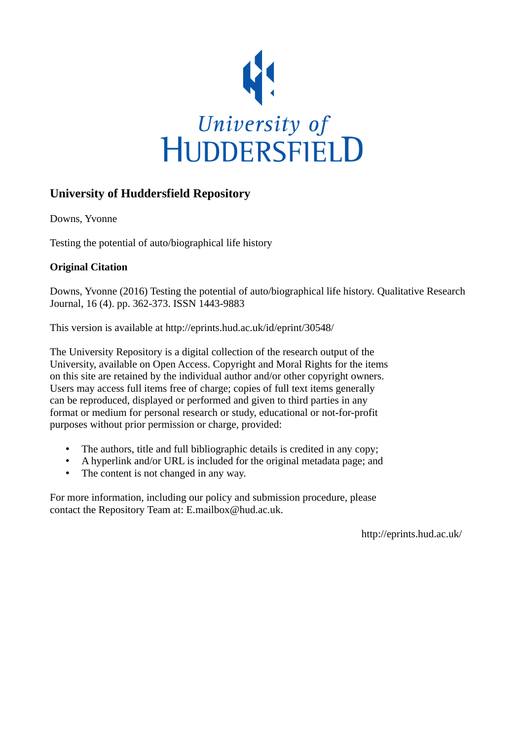

# **University of Huddersfield Repository**

Downs, Yvonne

Testing the potential of auto/biographical life history

# **Original Citation**

Downs, Yvonne (2016) Testing the potential of auto/biographical life history. Qualitative Research Journal, 16 (4). pp. 362-373. ISSN 1443-9883

This version is available at http://eprints.hud.ac.uk/id/eprint/30548/

The University Repository is a digital collection of the research output of the University, available on Open Access. Copyright and Moral Rights for the items on this site are retained by the individual author and/or other copyright owners. Users may access full items free of charge; copies of full text items generally can be reproduced, displayed or performed and given to third parties in any format or medium for personal research or study, educational or not-for-profit purposes without prior permission or charge, provided:

- The authors, title and full bibliographic details is credited in any copy;
- A hyperlink and/or URL is included for the original metadata page; and
- The content is not changed in any way.

For more information, including our policy and submission procedure, please contact the Repository Team at: E.mailbox@hud.ac.uk.

http://eprints.hud.ac.uk/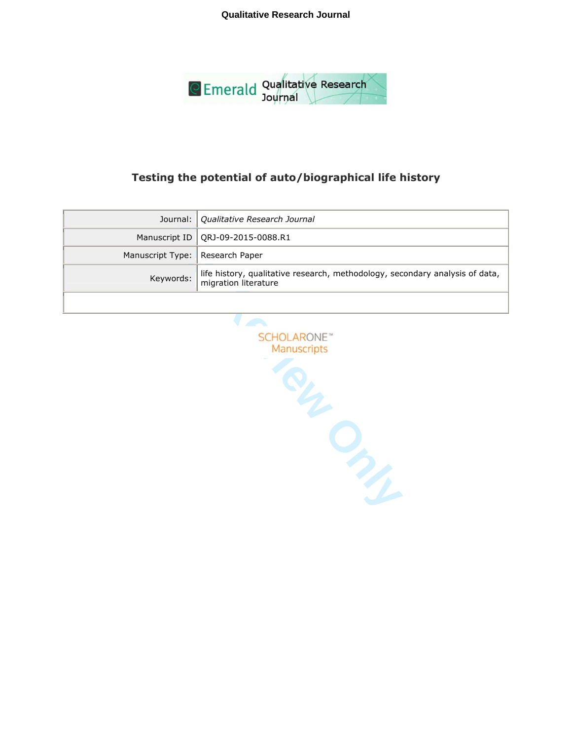**Qualitative Research Journal**



# **Testing the potential of auto/biographical life history**

|                                   | Journal: Qualitative Research Journal                                                                |
|-----------------------------------|------------------------------------------------------------------------------------------------------|
|                                   | Manuscript ID   QRJ-09-2015-0088.R1                                                                  |
| Manuscript Type:   Research Paper |                                                                                                      |
| Keywords:                         | life history, qualitative research, methodology, secondary analysis of data,<br>migration literature |
|                                   |                                                                                                      |

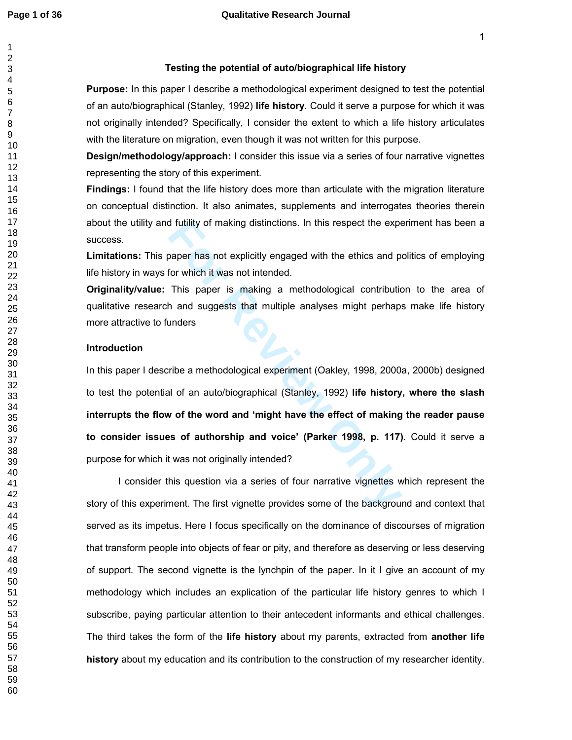## **Testing the potential of auto/biographical life history**

**Purpose:** In this paper I describe a methodological experiment designed to test the potential of an auto/biographical (Stanley, 1992) **life history**. Could it serve a purpose for which it was not originally intended? Specifically, I consider the extent to which a life history articulates with the literature on migration, even though it was not written for this purpose.

**Design/methodology/approach:** I consider this issue via a series of four narrative vignettes representing the story of this experiment.

**Findings:** I found that the life history does more than articulate with the migration literature on conceptual distinction. It also animates, supplements and interrogates theories therein about the utility and futility of making distinctions. In this respect the experiment has been a success.

**Limitations:** This paper has not explicitly engaged with the ethics and politics of employing life history in ways for which it was not intended.

**Originality/value:** This paper is making a methodological contribution to the area of qualitative research and suggests that multiple analyses might perhaps make life history more attractive to funders

#### **Introduction**

If futility of making distinctions. In this respect the expert<br>paper has not explicitly engaged with the ethics and proton which it was not intended.<br>This paper is making a methodological contribution<br>and suggests that mul In this paper I describe a methodological experiment (Oakley, 1998, 2000a, 2000b) designed to test the potential of an auto/biographical (Stanley, 1992) **life history, where the slash interrupts the flow of the word and 'might have the effect of making the reader pause to consider issues of authorship and voice' (Parker 1998, p. 117)**. Could it serve a purpose for which it was not originally intended?

I consider this question via a series of four narrative vignettes which represent the story of this experiment. The first vignette provides some of the background and context that served as its impetus. Here I focus specifically on the dominance of discourses of migration that transform people into objects of fear or pity, and therefore as deserving or less deserving of support. The second vignette is the lynchpin of the paper. In it I give an account of my methodology which includes an explication of the particular life history genres to which I subscribe, paying particular attention to their antecedent informants and ethical challenges. The third takes the form of the **life history** about my parents, extracted from **another life history** about my education and its contribution to the construction of my researcher identity.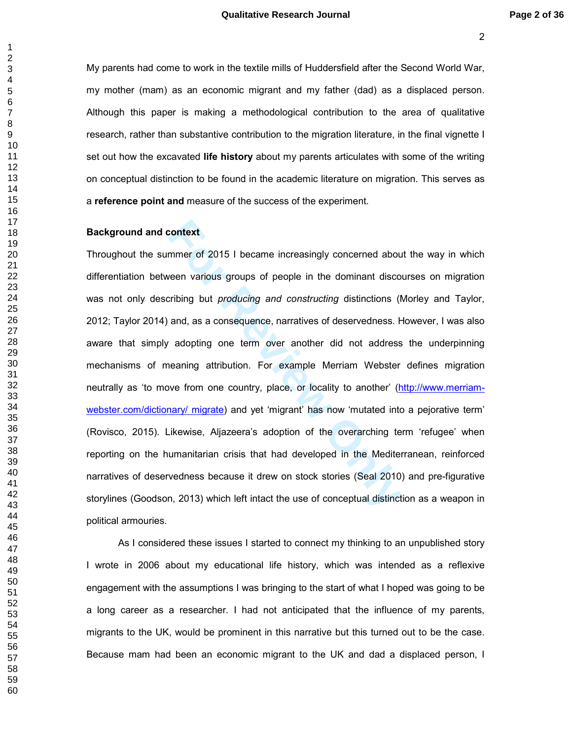My parents had come to work in the textile mills of Huddersfield after the Second World War, my mother (mam) as an economic migrant and my father (dad) as a displaced person. Although this paper is making a methodological contribution to the area of qualitative research, rather than substantive contribution to the migration literature, in the final vignette I set out how the excavated **life history** about my parents articulates with some of the writing on conceptual distinction to be found in the academic literature on migration. This serves as a **reference point and** measure of the success of the experiment.

#### **Background and context**

context<br>mmer of 2015 I became increasingly concerned about<br>ween various groups of people in the dominant discolution<br>and, as a consequence, narratives of deservedness. For<br>adopting one term over another did not address<br>nea Throughout the summer of 2015 I became increasingly concerned about the way in which differentiation between various groups of people in the dominant discourses on migration was not only describing but *producing and constructing* distinctions (Morley and Taylor, 2012; Taylor 2014) and, as a consequence, narratives of deservedness. However, I was also aware that simply adopting one term over another did not address the underpinning mechanisms of meaning attribution. For example Merriam Webster defines migration neutrally as 'to move from one country, place, or locality to another' (http://www.merriamwebster.com/dictionary/ migrate) and yet 'migrant' has now 'mutated into a pejorative term' (Rovisco, 2015). Likewise, Aljazeera's adoption of the overarching term 'refugee' when reporting on the humanitarian crisis that had developed in the Mediterranean, reinforced narratives of deservedness because it drew on stock stories (Seal 2010) and pre-figurative storylines (Goodson, 2013) which left intact the use of conceptual distinction as a weapon in political armouries.

As I considered these issues I started to connect my thinking to an unpublished story I wrote in 2006 about my educational life history, which was intended as a reflexive engagement with the assumptions I was bringing to the start of what I hoped was going to be a long career as a researcher. I had not anticipated that the influence of my parents, migrants to the UK, would be prominent in this narrative but this turned out to be the case. Because mam had been an economic migrant to the UK and dad a displaced person, I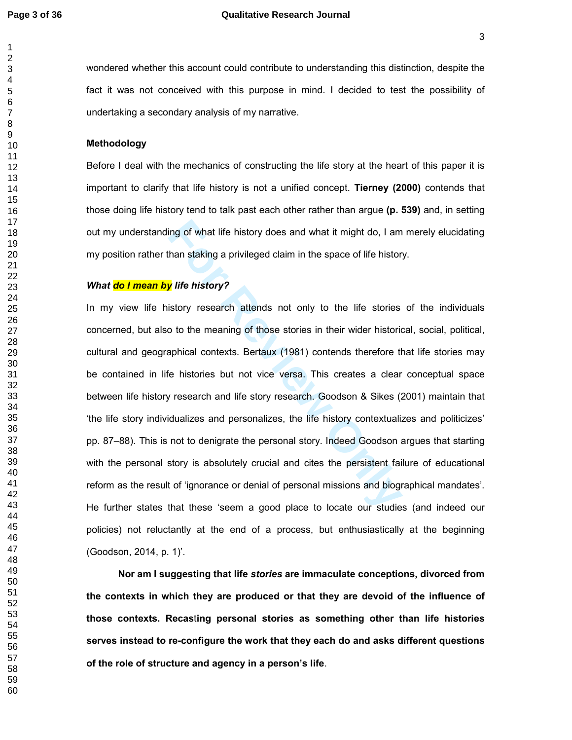#### **Page 3 of 36 Qualitative Research Journal**

wondered whether this account could contribute to understanding this distinction, despite the fact it was not conceived with this purpose in mind. I decided to test the possibility of undertaking a secondary analysis of my narrative.

# **Methodology**

Before I deal with the mechanics of constructing the life story at the heart of this paper it is important to clarify that life history is not a unified concept. **Tierney (2000)** contends that those doing life history tend to talk past each other rather than argue **(p. 539)** and, in setting out my understanding of what life history does and what it might do, I am merely elucidating my position rather than staking a privileged claim in the space of life history.

## *What do I mean by life history?*

ing of what life history does and what it might do, I am<br>han staking a privileged claim in the space of life histor<br>**For Ally ife history?**<br>istory research attends not only to the life stories<br>o to the meaning of those sto In my view life history research attends not only to the life stories of the individuals concerned, but also to the meaning of those stories in their wider historical, social, political, cultural and geographical contexts. Bertaux (1981) contends therefore that life stories may be contained in life histories but not vice versa. This creates a clear conceptual space between life history research and life story research. Goodson & Sikes (2001) maintain that 'the life story individualizes and personalizes, the life history contextualizes and politicizes' pp. 87–88). This is not to denigrate the personal story. Indeed Goodson argues that starting with the personal story is absolutely crucial and cites the persistent failure of educational reform as the result of 'ignorance or denial of personal missions and biographical mandates'. He further states that these 'seem a good place to locate our studies (and indeed our policies) not reluctantly at the end of a process, but enthusiastically at the beginning (Goodson, 2014, p. 1)'.

**Nor am I suggesting that life** *stories* **are immaculate conceptions, divorced from the contexts in which they are produced or that they are devoid of the influence of those contexts. Recas** t**ing personal stories as something other than life histories serves instead to re-configure the work that they each do and asks different questions of the role of structure and agency in a person's life**.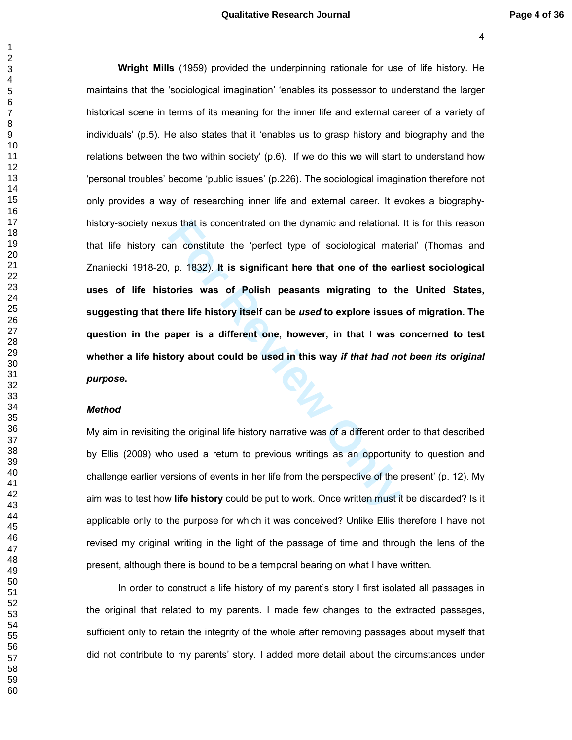#### **Qualitative Research Journal Page 4 of 36**

In this concentrated on the dynamic and relational.<br>
An constitute the 'perfect type of sociological mate<br>
p. 1832). It is significant here that one of the eal<br>
tories was of Polish peasants migrating to th<br>
here life hist **Wright Mills** (1959) provided the underpinning rationale for use of life history. He maintains that the 'sociological imagination' 'enables its possessor to understand the larger historical scene in terms of its meaning for the inner life and external career of a variety of individuals' (p.5). He also states that it 'enables us to grasp history and biography and the relations between the two within society' (p.6). If we do this we will start to understand how 'personal troubles' become 'public issues' (p.226). The sociological imagination therefore not only provides a way of researching inner life and external career. It evokes a biographyhistory-society nexus that is concentrated on the dynamic and relational. It is for this reason that life history can constitute the 'perfect type of sociological material' (Thomas and Znaniecki 1918-20, p. 1832). **It is significant here that one of the earliest sociological uses of life histories was of Polish peasants migrating to the United States, suggesting that there life history itself can be** *used* **to explore issues of migration. The question in the paper is a different one, however, in that I was concerned to test whether a life history about could be used in this way** *if that had not been its original purpose***.** 

# *Method*

My aim in revisiting the original life history narrative was of a different order to that described by Ellis (2009) who used a return to previous writings as an opportunity to question and challenge earlier versions of events in her life from the perspective of the present' (p. 12). My aim was to test how **life history** could be put to work. Once written must it be discarded? Is it applicable only to the purpose for which it was conceived? Unlike Ellis therefore I have not revised my original writing in the light of the passage of time and through the lens of the present, although there is bound to be a temporal bearing on what I have written.

In order to construct a life history of my parent's story I first isolated all passages in the original that related to my parents. I made few changes to the extracted passages, sufficient only to retain the integrity of the whole after removing passages about myself that did not contribute to my parents' story. I added more detail about the circumstances under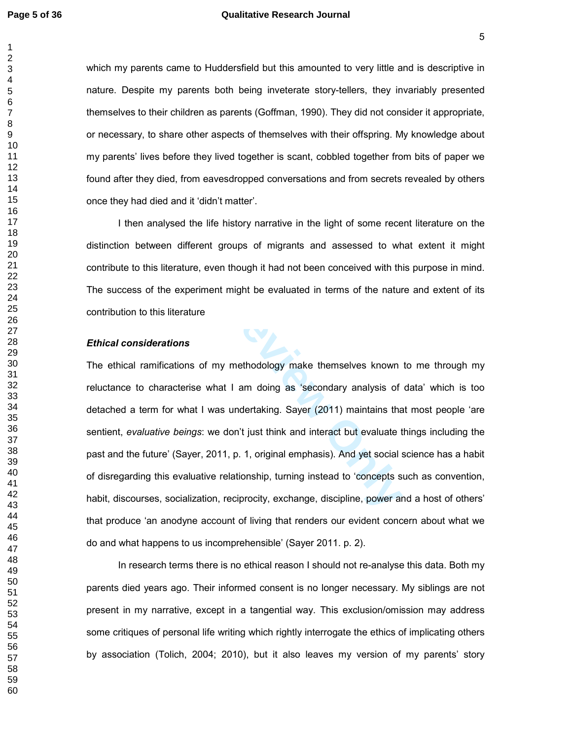$\mathbf{1}$ 

## **Page 5 of 36 Qualitative Research Journal**

which my parents came to Huddersfield but this amounted to very little and is descriptive in nature. Despite my parents both being inveterate story-tellers, they invariably presented themselves to their children as parents (Goffman, 1990). They did not consider it appropriate, or necessary, to share other aspects of themselves with their offspring. My knowledge about my parents' lives before they lived together is scant, cobbled together from bits of paper we found after they died, from eavesdropped conversations and from secrets revealed by others once they had died and it 'didn't matter'.

I then analysed the life history narrative in the light of some recent literature on the distinction between different groups of migrants and assessed to what extent it might contribute to this literature, even though it had not been conceived with this purpose in mind. The success of the experiment might be evaluated in terms of the nature and extent of its contribution to this literature

# *Ethical considerations*

Sed the life history narrative in the light of some rece<br>
1 different groups of migrants and assessed to wherature, even though it had not been conceived with the<br>
2 experiment might be evaluated in terms of the nature<br>
li The ethical ramifications of my methodology make themselves known to me through my reluctance to characterise what I am doing as 'secondary analysis of data' which is too detached a term for what I was undertaking. Sayer (2011) maintains that most people 'are sentient, *evaluative beings*: we don't just think and interact but evaluate things including the past and the future' (Sayer, 2011, p. 1, original emphasis). And yet social science has a habit of disregarding this evaluative relationship, turning instead to 'concepts such as convention, habit, discourses, socialization, reciprocity, exchange, discipline, power and a host of others' that produce 'an anodyne account of living that renders our evident concern about what we do and what happens to us incomprehensible' (Sayer 2011. p. 2).

In research terms there is no ethical reason I should not re-analyse this data. Both my parents died years ago. Their informed consent is no longer necessary. My siblings are not present in my narrative, except in a tangential way. This exclusion/omission may address some critiques of personal life writing which rightly interrogate the ethics of implicating others by association (Tolich, 2004; 2010), but it also leaves my version of my parents' story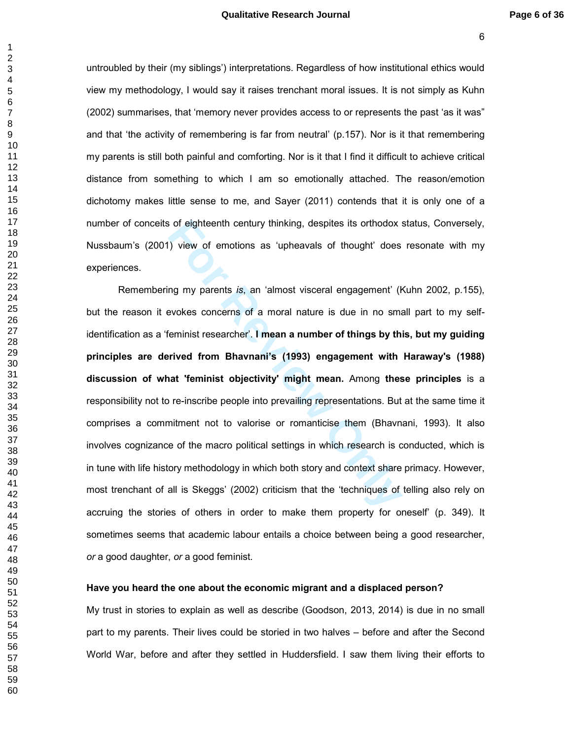untroubled by their (my siblings') interpretations. Regardless of how institutional ethics would view my methodology, I would say it raises trenchant moral issues. It is not simply as Kuhn (2002) summarises, that 'memory never provides access to or represents the past 'as it was" and that 'the activity of remembering is far from neutral' (p.157). Nor is it that remembering my parents is still both painful and comforting. Nor is it that I find it difficult to achieve critical distance from something to which I am so emotionally attached. The reason/emotion dichotomy makes little sense to me, and Sayer (2011) contends that it is only one of a number of conceits of eighteenth century thinking, despites its orthodox status, Conversely, Nussbaum's (2001) view of emotions as 'upheavals of thought' does resonate with my experiences.

of eighteenth century thinking, despites its orthodox s<br> **For Proference Allength** of thought<br> **For Proference Allengthands** of thought<br> **For Proference Allengthands**<br> **For Proference Allengthands**<br> **For Proference Allengt** Remembering my parents *is*, an 'almost visceral engagement' (Kuhn 2002, p.155), but the reason it evokes concerns of a moral nature is due in no small part to my selfidentification as a 'feminist researcher'. **I mean a number of things by this, but my guiding principles are derived from Bhavnani's (1993) engagement with Haraway's (1988) discussion of what 'feminist objectivity' might mean.** Among **these principles** is a responsibility not to re-inscribe people into prevailing representations. But at the same time it comprises a commitment not to valorise or romanticise them (Bhavnani, 1993). It also involves cognizance of the macro political settings in which research is conducted, which is in tune with life history methodology in which both story and context share primacy. However, most trenchant of all is Skeggs' (2002) criticism that the 'techniques of telling also rely on accruing the stories of others in order to make them property for oneself' (p. 349). It sometimes seems that academic labour entails a choice between being a good researcher, *or* a good daughter, *or* a good feminist.

#### **Have you heard the one about the economic migrant and a displaced person?**

My trust in stories to explain as well as describe (Goodson, 2013, 2014) is due in no small part to my parents. Their lives could be storied in two halves – before and after the Second World War, before and after they settled in Huddersfield. I saw them living their efforts to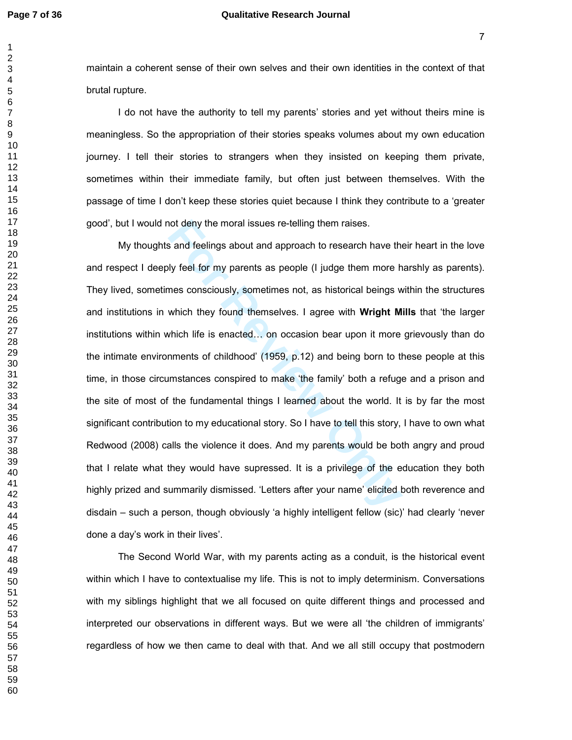# **Page 7 of 36 Qualitative Research Journal**

maintain a coherent sense of their own selves and their own identities in the context of that brutal rupture.

I do not have the authority to tell my parents' stories and yet without theirs mine is meaningless. So the appropriation of their stories speaks volumes about my own education journey. I tell their stories to strangers when they insisted on keeping them private, sometimes within their immediate family, but often just between themselves. With the passage of time I don't keep these stories quiet because I think they contribute to a 'greater good', but I would not deny the moral issues re-telling them raises.

not deny the moral issues re-telling them raises.<br> **For Review Solution** and approach to research have the ly feel for my parents as people (I judge them more h<br>
mes consciously, sometimes not, as historical beings w<br>
whic My thoughts and feelings about and approach to research have their heart in the love and respect I deeply feel for my parents as people (I judge them more harshly as parents). They lived, sometimes consciously, sometimes not, as historical beings within the structures and institutions in which they found themselves. I agree with **Wright Mills** that 'the larger institutions within which life is enacted... on occasion bear upon it more grievously than do the intimate environments of childhood' (1959, p.12) and being born to these people at this time, in those circumstances conspired to make 'the family' both a refuge and a prison and the site of most of the fundamental things I learned about the world. It is by far the most significant contribution to my educational story. So I have to tell this story, I have to own what Redwood (2008) calls the violence it does. And my parents would be both angry and proud that I relate what they would have supressed. It is a privilege of the education they both highly prized and summarily dismissed. 'Letters after your name' elicited both reverence and disdain – such a person, though obviously 'a highly intelligent fellow (sic)' had clearly 'never done a day's work in their lives'.

The Second World War, with my parents acting as a conduit, is the historical event within which I have to contextualise my life. This is not to imply determinism. Conversations with my siblings highlight that we all focused on quite different things and processed and interpreted our observations in different ways. But we were all 'the children of immigrants' regardless of how we then came to deal with that. And we all still occupy that postmodern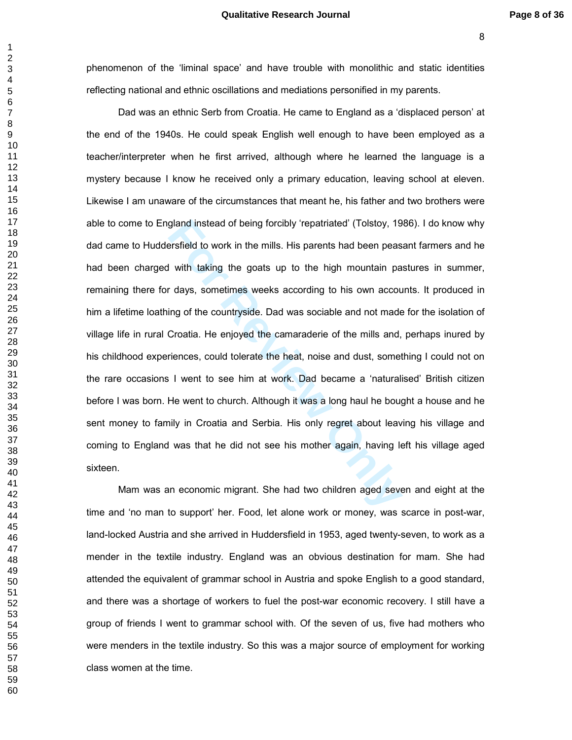phenomenon of the 'liminal space' and have trouble with monolithic and static identities reflecting national and ethnic oscillations and mediations personified in my parents.

gland instead of being forcibly 'repatriated' (Tolstoy, 19<br>ersfield to work in the mills. His parents had been peas<br>I with taking the goats up to the high mountain pa<br>r days, sometimes weeks according to his own accou<br>ing Dad was an ethnic Serb from Croatia. He came to England as a 'displaced person' at the end of the 1940s. He could speak English well enough to have been employed as a teacher/interpreter when he first arrived, although where he learned the language is a mystery because I know he received only a primary education, leaving school at eleven. Likewise I am unaware of the circumstances that meant he, his father and two brothers were able to come to England instead of being forcibly 'repatriated' (Tolstoy, 1986). I do know why dad came to Huddersfield to work in the mills. His parents had been peasant farmers and he had been charged with taking the goats up to the high mountain pastures in summer, remaining there for days, sometimes weeks according to his own accounts. It produced in him a lifetime loathing of the countryside. Dad was sociable and not made for the isolation of village life in rural Croatia. He enjoyed the camaraderie of the mills and, perhaps inured by his childhood experiences, could tolerate the heat, noise and dust, something I could not on the rare occasions I went to see him at work. Dad became a 'naturalised' British citizen before I was born. He went to church. Although it was a long haul he bought a house and he sent money to family in Croatia and Serbia. His only regret about leaving his village and coming to England was that he did not see his mother again, having left his village aged sixteen.

Mam was an economic migrant. She had two children aged seven and eight at the time and 'no man to support' her. Food, let alone work or money, was scarce in post-war, land-locked Austria and she arrived in Huddersfield in 1953, aged twenty-seven, to work as a mender in the textile industry. England was an obvious destination for mam. She had attended the equivalent of grammar school in Austria and spoke English to a good standard, and there was a shortage of workers to fuel the post-war economic recovery. I still have a group of friends I went to grammar school with. Of the seven of us, five had mothers who were menders in the textile industry. So this was a major source of employment for working class women at the time.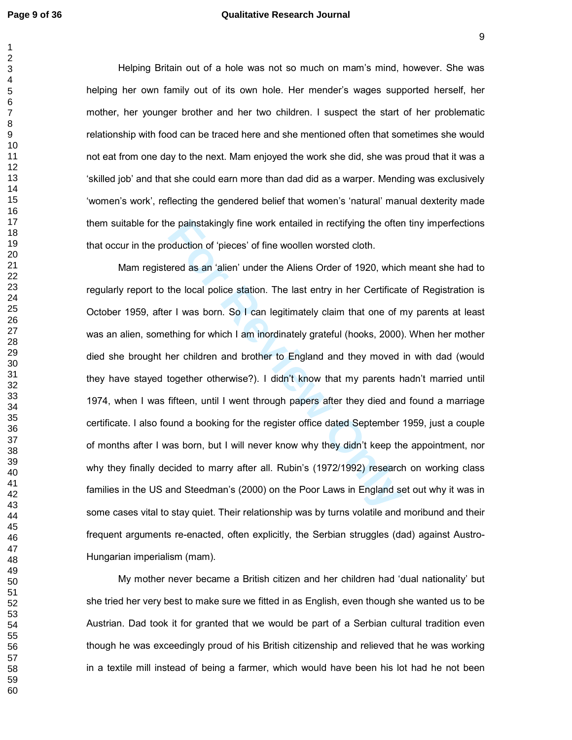$\mathbf{1}$ 

# **Page 9 of 36 Qualitative Research Journal**

Helping Britain out of a hole was not so much on mam's mind, however. She was helping her own family out of its own hole. Her mender's wages supported herself, her mother, her younger brother and her two children. I suspect the start of her problematic relationship with food can be traced here and she mentioned often that sometimes she would not eat from one day to the next. Mam enjoyed the work she did, she was proud that it was a 'skilled job' and that she could earn more than dad did as a warper. Mending was exclusively 'women's work', reflecting the gendered belief that women's 'natural' manual dexterity made them suitable for the painstakingly fine work entailed in rectifying the often tiny imperfections that occur in the production of 'pieces' of fine woollen worsted cloth.

ie painstakingly fine work entailed in rectifying the ofter<br>oduction of 'pieces' of fine woollen worsted cloth.<br>Fred as an 'alien' under the Aliens Order of 1920, which<br>the local police station. The last entry in her Certi Mam registered as an 'alien' under the Aliens Order of 1920, which meant she had to regularly report to the local police station. The last entry in her Certificate of Registration is October 1959, after I was born. So I can legitimately claim that one of my parents at least was an alien, something for which I am inordinately grateful (hooks, 2000). When her mother died she brought her children and brother to England and they moved in with dad (would they have stayed together otherwise?). I didn't know that my parents hadn't married until 1974, when I was fifteen, until I went through papers after they died and found a marriage certificate. I also found a booking for the register office dated September 1959, just a couple of months after I was born, but I will never know why they didn't keep the appointment, nor why they finally decided to marry after all. Rubin's (1972/1992) research on working class families in the US and Steedman's (2000) on the Poor Laws in England set out why it was in some cases vital to stay quiet. Their relationship was by turns volatile and moribund and their frequent arguments re-enacted, often explicitly, the Serbian struggles (dad) against Austro-Hungarian imperialism (mam).

My mother never became a British citizen and her children had 'dual nationality' but she tried her very best to make sure we fitted in as English, even though she wanted us to be Austrian. Dad took it for granted that we would be part of a Serbian cultural tradition even though he was exceedingly proud of his British citizenship and relieved that he was working in a textile mill instead of being a farmer, which would have been his lot had he not been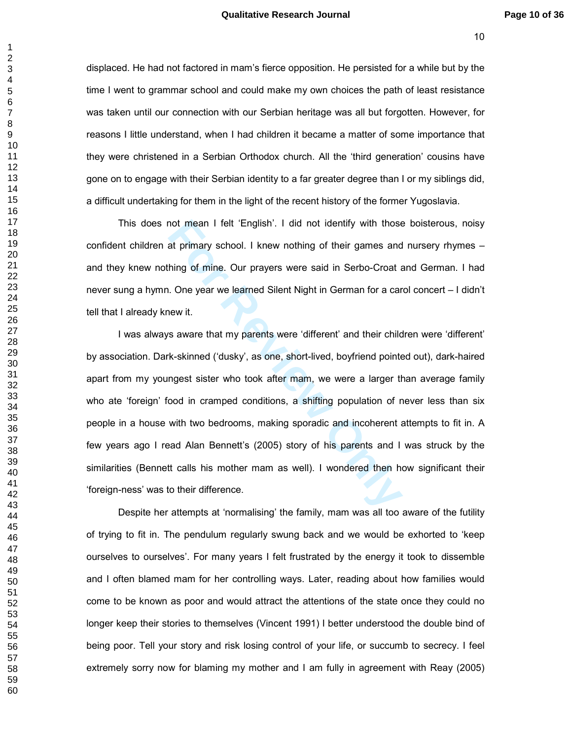displaced. He had not factored in mam's fierce opposition. He persisted for a while but by the time I went to grammar school and could make my own choices the path of least resistance was taken until our connection with our Serbian heritage was all but forgotten. However, for reasons I little understand, when I had children it became a matter of some importance that they were christened in a Serbian Orthodox church. All the 'third generation' cousins have gone on to engage with their Serbian identity to a far greater degree than I or my siblings did, a difficult undertaking for them in the light of the recent history of the former Yugoslavia.

This does not mean I felt 'English'. I did not identify with those boisterous, noisy confident children at primary school. I knew nothing of their games and nursery rhymes – and they knew nothing of mine. Our prayers were said in Serbo-Croat and German. I had never sung a hymn. One year we learned Silent Night in German for a carol concert – I didn't tell that I already knew it.

not mean I felt 'English'. I did not identify with those<br>at primary school. I knew nothing of their games and<br>hing of mine. Our prayers were said in Serbo-Croat a<br>i. One year we learned Silent Night in German for a car<br>new I was always aware that my parents were 'different' and their children were 'different' by association. Dark-skinned ('dusky', as one, short-lived, boyfriend pointed out), dark-haired apart from my youngest sister who took after mam, we were a larger than average family who ate 'foreign' food in cramped conditions, a shifting population of never less than six people in a house with two bedrooms, making sporadic and incoherent attempts to fit in. A few years ago I read Alan Bennett's (2005) story of his parents and I was struck by the similarities (Bennett calls his mother mam as well). I wondered then how significant their 'foreign-ness' was to their difference.

Despite her attempts at 'normalising' the family, mam was all too aware of the futility of trying to fit in. The pendulum regularly swung back and we would be exhorted to 'keep ourselves to ourselves'. For many years I felt frustrated by the energy it took to dissemble and I often blamed mam for her controlling ways. Later, reading about how families would come to be known as poor and would attract the attentions of the state once they could no longer keep their stories to themselves (Vincent 1991) I better understood the double bind of being poor. Tell your story and risk losing control of your life, or succumb to secrecy. I feel extremely sorry now for blaming my mother and I am fully in agreement with Reay (2005)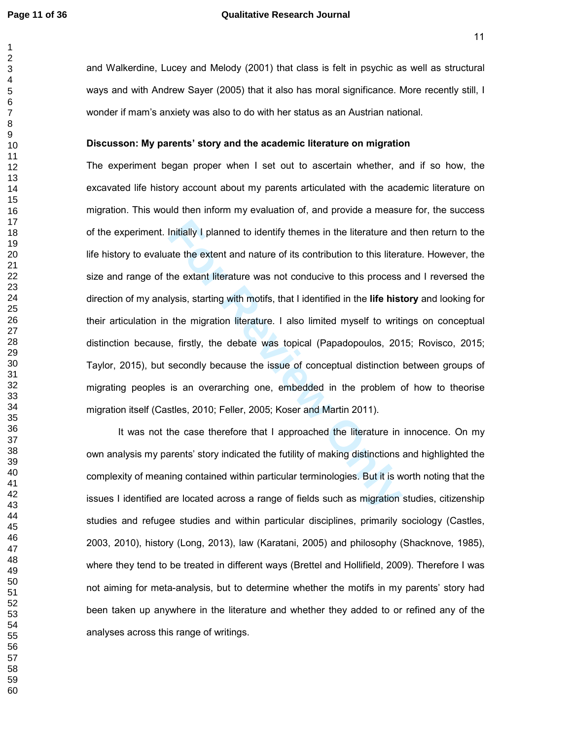# **Page 11 of 36 Qualitative Research Journal**

and Walkerdine, Lucey and Melody (2001) that class is felt in psychic as well as structural ways and with Andrew Sayer (2005) that it also has moral significance. More recently still, I wonder if mam's anxiety was also to do with her status as an Austrian national.

#### **Discusson: My parents' story and the academic literature on migration**

Initially I planned to identify themes in the literature and<br>ate the extent and nature of its contribution to this literate<br>he extant literature was not conducive to this process<br>lysis, starting with motifs, that I identif The experiment began proper when I set out to ascertain whether, and if so how, the excavated life history account about my parents articulated with the academic literature on migration. This would then inform my evaluation of, and provide a measure for, the success of the experiment. Initially I planned to identify themes in the literature and then return to the life history to evaluate the extent and nature of its contribution to this literature. However, the size and range of the extant literature was not conducive to this process and I reversed the direction of my analysis, starting with motifs, that I identified in the **life history** and looking for their articulation in the migration literature. I also limited myself to writings on conceptual distinction because, firstly, the debate was topical (Papadopoulos, 2015; Rovisco, 2015; Taylor, 2015), but secondly because the issue of conceptual distinction between groups of migrating peoples is an overarching one, embedded in the problem of how to theorise migration itself (Castles, 2010; Feller, 2005; Koser and Martin 2011).

It was not the case therefore that I approached the literature in innocence. On my own analysis my parents' story indicated the futility of making distinctions and highlighted the complexity of meaning contained within particular terminologies. But it is worth noting that the issues I identified are located across a range of fields such as migration studies, citizenship studies and refugee studies and within particular disciplines, primarily sociology (Castles, 2003, 2010), history (Long, 2013), law (Karatani, 2005) and philosophy (Shacknove, 1985), where they tend to be treated in different ways (Brettel and Hollifield, 2009). Therefore I was not aiming for meta-analysis, but to determine whether the motifs in my parents' story had been taken up anywhere in the literature and whether they added to or refined any of the analyses across this range of writings.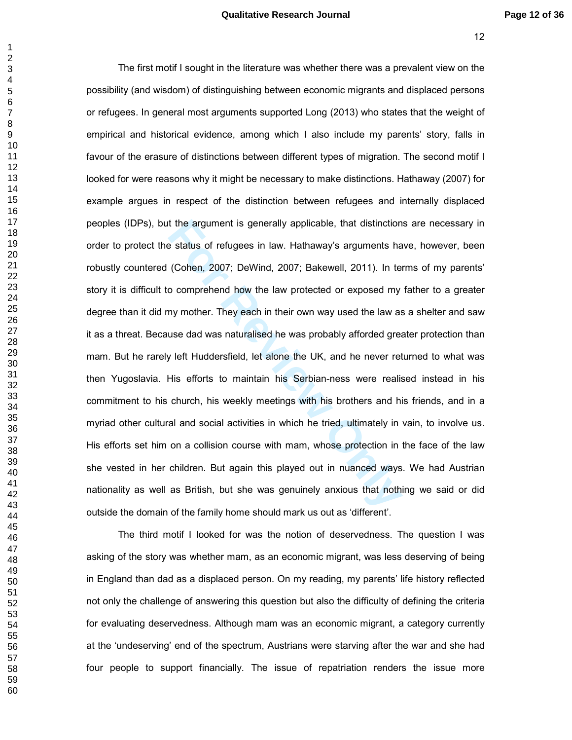#### **Qualitative Research Journal Page 12 of 36**

t the argument is generally applicable, that distinction<br>
e status of refugees in law. Hathaway's arguments ha<br>
(Cohen, 2007; DeWind, 2007; Bakewell, 2011). In te<br>
o comprehend how the law protected or exposed my<br>
my mothe The first motif I sought in the literature was whether there was a prevalent view on the possibility (and wisdom) of distinguishing between economic migrants and displaced persons or refugees. In general most arguments supported Long (2013) who states that the weight of empirical and historical evidence, among which I also include my parents' story, falls in favour of the erasure of distinctions between different types of migration. The second motif I looked for were reasons why it might be necessary to make distinctions. Hathaway (2007) for example argues in respect of the distinction between refugees and internally displaced peoples (IDPs), but the argument is generally applicable, that distinctions are necessary in order to protect the status of refugees in law. Hathaway's arguments have, however, been robustly countered (Cohen, 2007; DeWind, 2007; Bakewell, 2011). In terms of my parents' story it is difficult to comprehend how the law protected or exposed my father to a greater degree than it did my mother. They each in their own way used the law as a shelter and saw it as a threat. Because dad was naturalised he was probably afforded greater protection than mam. But he rarely left Huddersfield, let alone the UK, and he never returned to what was then Yugoslavia. His efforts to maintain his Serbian-ness were realised instead in his commitment to his church, his weekly meetings with his brothers and his friends, and in a myriad other cultural and social activities in which he tried, ultimately in vain, to involve us. His efforts set him on a collision course with mam, whose protection in the face of the law she vested in her children. But again this played out in nuanced ways. We had Austrian nationality as well as British, but she was genuinely anxious that nothing we said or did outside the domain of the family home should mark us out as 'different'.

The third motif I looked for was the notion of deservedness. The question I was asking of the story was whether mam, as an economic migrant, was less deserving of being in England than dad as a displaced person. On my reading, my parents' life history reflected not only the challenge of answering this question but also the difficulty of defining the criteria for evaluating deservedness. Although mam was an economic migrant, a category currently at the 'undeserving' end of the spectrum, Austrians were starving after the war and she had four people to support financially. The issue of repatriation renders the issue more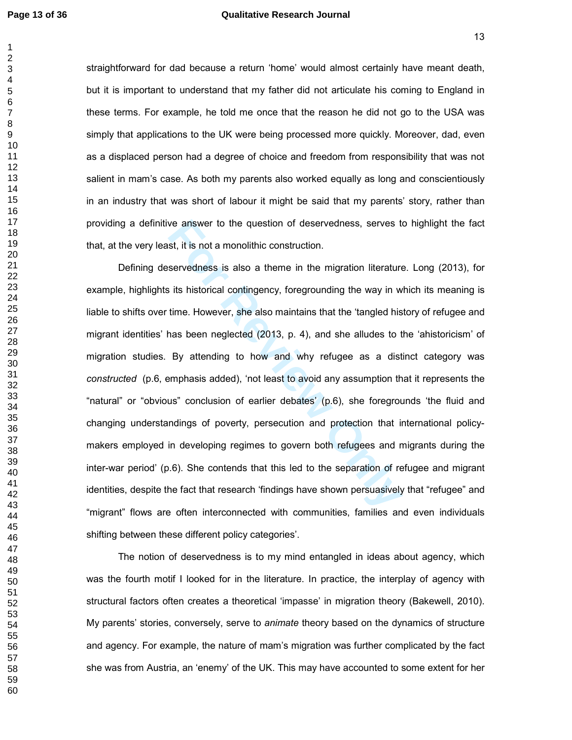#### **Page 13 of 36 Qualitative Research Journal**

  straightforward for dad because a return 'home' would almost certainly have meant death, but it is important to understand that my father did not articulate his coming to England in these terms. For example, he told me once that the reason he did not go to the USA was simply that applications to the UK were being processed more quickly. Moreover, dad, even as a displaced person had a degree of choice and freedom from responsibility that was not salient in mam's case. As both my parents also worked equally as long and conscientiously in an industry that was short of labour it might be said that my parents' story, rather than providing a definitive answer to the question of deservedness, serves to highlight the fact that, at the very least, it is not a monolithic construction.

ist, it is not a monolithic construction.<br>
Servedness is also a theme in the migration literature<br>
servedness is also a theme in the migration literature<br>
its historical contingency, foregrounding the way in w<br>
time. Howev Defining deservedness is also a theme in the migration literature. Long (2013), for example, highlights its historical contingency, foregrounding the way in which its meaning is liable to shifts over time. However, she also maintains that the 'tangled history of refugee and migrant identities' has been neglected (2013, p. 4), and she alludes to the 'ahistoricism' of migration studies. By attending to how and why refugee as a distinct category was *constructed* (p.6, emphasis added), 'not least to avoid any assumption that it represents the "natural" or "obvious" conclusion of earlier debates' (p.6), she foregrounds 'the fluid and changing understandings of poverty, persecution and protection that international policymakers employed in developing regimes to govern both refugees and migrants during the inter-war period' (p.6). She contends that this led to the separation of refugee and migrant identities, despite the fact that research 'findings have shown persuasively that "refugee" and "migrant" flows are often interconnected with communities, families and even individuals shifting between these different policy categories'.

The notion of deservedness is to my mind entangled in ideas about agency, which was the fourth motif I looked for in the literature. In practice, the interplay of agency with structural factors often creates a theoretical 'impasse' in migration theory (Bakewell, 2010). My parents' stories, conversely, serve to *animate* theory based on the dynamics of structure and agency. For example, the nature of mam's migration was further complicated by the fact she was from Austria, an 'enemy' of the UK. This may have accounted to some extent for her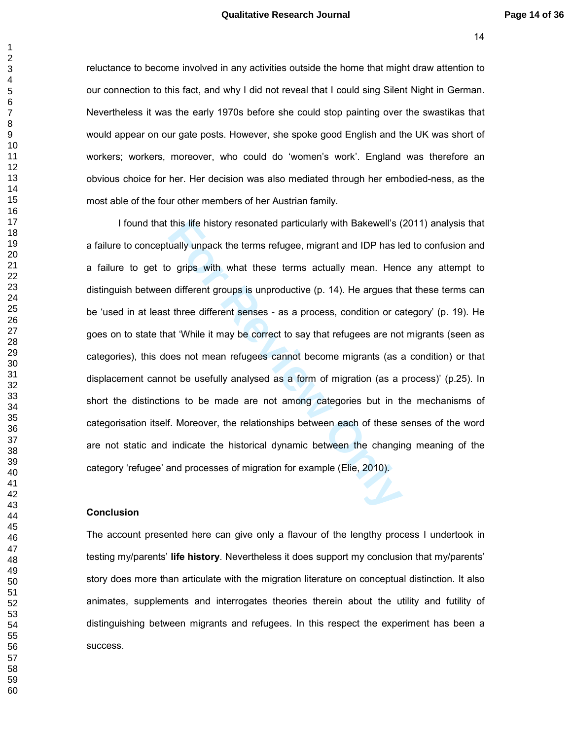reluctance to become involved in any activities outside the home that might draw attention to our connection to this fact, and why I did not reveal that I could sing Silent Night in German. Nevertheless it was the early 1970s before she could stop painting over the swastikas that would appear on our gate posts. However, she spoke good English and the UK was short of workers; workers, moreover, who could do 'women's work'. England was therefore an obvious choice for her. Her decision was also mediated through her embodied-ness, as the most able of the four other members of her Austrian family.

this life history resonated particularly with Bakewell's (<br>
ually unpack the terms refugee, migrant and IDP has le<br>
19 grips with what these terms actually mean. Hen<br>
1 different groups is unproductive (p. 14). He argues t I found that this life history resonated particularly with Bakewell's (2011) analysis that a failure to conceptually unpack the terms refugee, migrant and IDP has led to confusion and a failure to get to grips with what these terms actually mean. Hence any attempt to distinguish between different groups is unproductive (p. 14). He argues that these terms can be 'used in at least three different senses - as a process, condition or category' (p. 19). He goes on to state that 'While it may be correct to say that refugees are not migrants (seen as categories), this does not mean refugees cannot become migrants (as a condition) or that displacement cannot be usefully analysed as a form of migration (as a process)' (p.25). In short the distinctions to be made are not among categories but in the mechanisms of categorisation itself. Moreover, the relationships between each of these senses of the word are not static and indicate the historical dynamic between the changing meaning of the category 'refugee' and processes of migration for example (Elie, 2010).

#### **Conclusion**

The account presented here can give only a flavour of the lengthy process I undertook in testing my/parents' **life history**. Nevertheless it does support my conclusion that my/parents' story does more than articulate with the migration literature on conceptual distinction. It also animates, supplements and interrogates theories therein about the utility and futility of distinguishing between migrants and refugees. In this respect the experiment has been a success.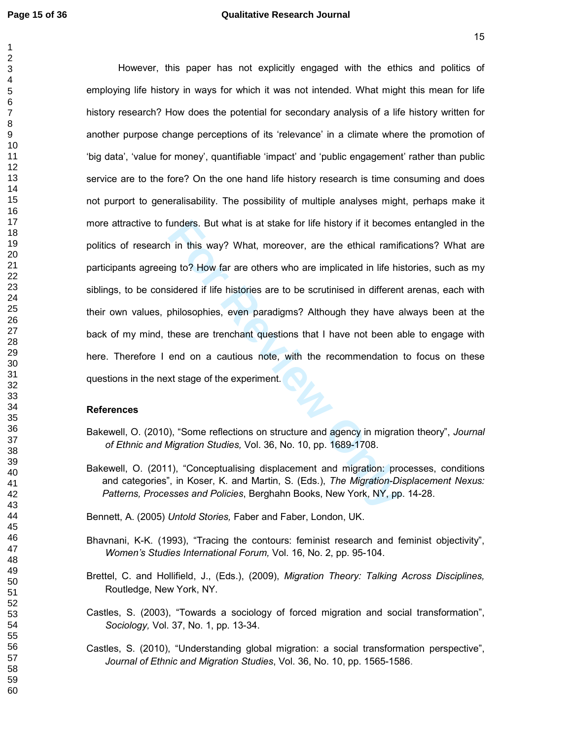unders. But what is at stake for life history if it becomention<br>in this way? What, moreover, are the ethical ramifing to? How far are others who are implicated in life histoired if life histories are to be scrutinised in d However, this paper has not explicitly engaged with the ethics and politics of employing life history in ways for which it was not intended. What might this mean for life history research? How does the potential for secondary analysis of a life history written for another purpose change perceptions of its 'relevance' in a climate where the promotion of 'big data', 'value for money', quantifiable 'impact' and 'public engagement' rather than public service are to the fore? On the one hand life history research is time consuming and does not purport to generalisability. The possibility of multiple analyses might, perhaps make it more attractive to funders. But what is at stake for life history if it becomes entangled in the politics of research in this way? What, moreover, are the ethical ramifications? What are participants agreeing to? How far are others who are implicated in life histories, such as my siblings, to be considered if life histories are to be scrutinised in different arenas, each with their own values, philosophies, even paradigms? Although they have always been at the back of my mind, these are trenchant questions that I have not been able to engage with here. Therefore I end on a cautious note, with the recommendation to focus on these questions in the next stage of the experiment.

## **References**

- Bakewell, O. (2010), "Some reflections on structure and agency in migration theory", *Journal of Ethnic and Migration Studies,* Vol. 36, No. 10, pp. 1689-1708.
- Bakewell, O. (2011), "Conceptualising displacement and migration: processes, conditions and categories", in Koser, K. and Martin, S. (Eds.), *The Migration-Displacement Nexus: Patterns, Processes and Policies*, Berghahn Books, New York, NY, pp. 14-28.

Bennett, A. (2005) *Untold Stories,* Faber and Faber, London, UK.

- Bhavnani, K-K. (1993), "Tracing the contours: feminist research and feminist objectivity", *Women's Studies International Forum,* Vol. 16, No. 2, pp. 95-104.
- Brettel, C. and Hollifield, J., (Eds.), (2009), *Migration Theory: Talking Across Disciplines,*  Routledge, New York, NY.
- Castles, S. (2003), "Towards a sociology of forced migration and social transformation", *Sociology,* Vol. 37, No. 1, pp. 13-34.
- Castles, S. (2010), "Understanding global migration: a social transformation perspective", *Journal of Ethnic and Migration Studies*, Vol. 36, No. 10, pp. 1565-1586.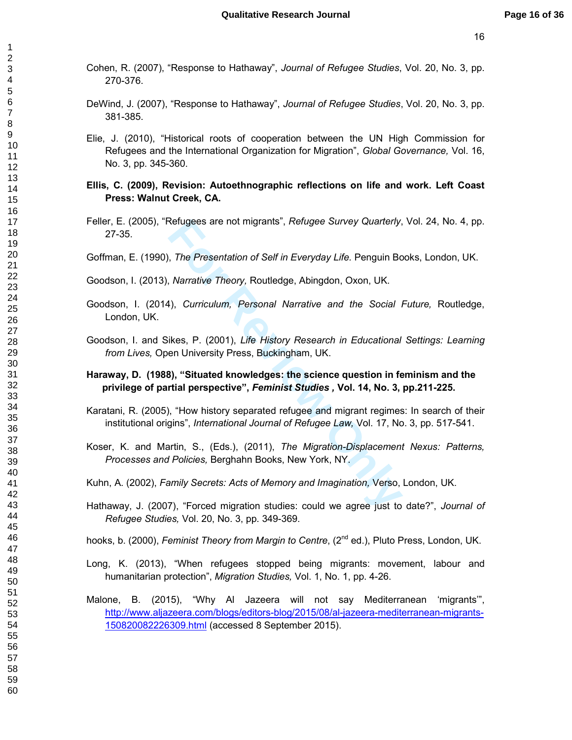- Cohen, R. (2007), "Response to Hathaway", *Journal of Refugee Studies*, Vol. 20, No. 3, pp. 270-376.
- DeWind, J. (2007), "Response to Hathaway", *Journal of Refugee Studies*, Vol. 20, No. 3, pp. 381-385.
- Elie, J. (2010), "Historical roots of cooperation between the UN High Commission for Refugees and the International Organization for Migration", *Global Governance,* Vol. 16, No. 3, pp. 345-360.
- **Ellis, C. (2009), Revision: Autoethnographic reflections on life and work. Left Coast Press: Walnut Creek, CA.**
- Feller, E. (2005), "Refugees are not migrants", *Refugee Survey Quarterly*, Vol. 24, No. 4, pp. 27-35.

Goffman, E. (1990), *The Presentation of Self in Everyday Life.* Penguin Books, London, UK.

- Goodson, I. (2013), *Narrative Theory,* Routledge, Abingdon, Oxon, UK.
- Goodson, I. (2014), *Curriculum, Personal Narrative and the Social Future,* Routledge, London, UK.
- Goodson, I. and Sikes, P. (2001), *Life History Research in Educational Settings: Learning from Lives,* Open University Press, Buckingham, UK.
- **Haraway, D. (1988), "Situated knowledges: the science question in feminism and the privilege of partial perspective",** *Feminist Studies ,* **Vol. 14, No. 3, pp.211-225.**
- Karatani, R. (2005), "How history separated refugee and migrant regimes: In search of their institutional origins", *International Journal of Refugee Law,* Vol. 17, No. 3, pp. 517-541.
- Refugees are not migrants", *Retugee Survey Quarterly,*<br> *For Presentation of Self in Everyday Life.* Penguin Bc<br> *Narrative Theory, Routledge, Abingdon, Oxon, UK.*<br> **For Review Theory, Routledge, Abingdon, Oxon, UK.**<br> **Fo** Koser, K. and Martin, S., (Eds.), (2011), *The Migration-Displacement Nexus: Patterns, Processes and Policies,* Berghahn Books, New York, NY.
- Kuhn, A. (2002), *Family Secrets: Acts of Memory and Imagination,* Verso, London, UK.
- Hathaway, J. (2007), "Forced migration studies: could we agree just to date?", *Journal of Refugee Studies,* Vol. 20, No. 3, pp. 349-369.
- hooks, b. (2000), *Feminist Theory from Margin to Centre*, (2<sup>nd</sup> ed.), Pluto Press, London, UK.
- Long, K. (2013), "When refugees stopped being migrants: movement, labour and humanitarian protection", *Migration Studies,* Vol. 1, No. 1, pp. 4-26.
- Malone, B. (2015), "Why Al Jazeera will not say Mediterranean 'migrants'", http://www.aljazeera.com/blogs/editors-blog/2015/08/al-jazeera-mediterranean-migrants-150820082226309.html (accessed 8 September 2015).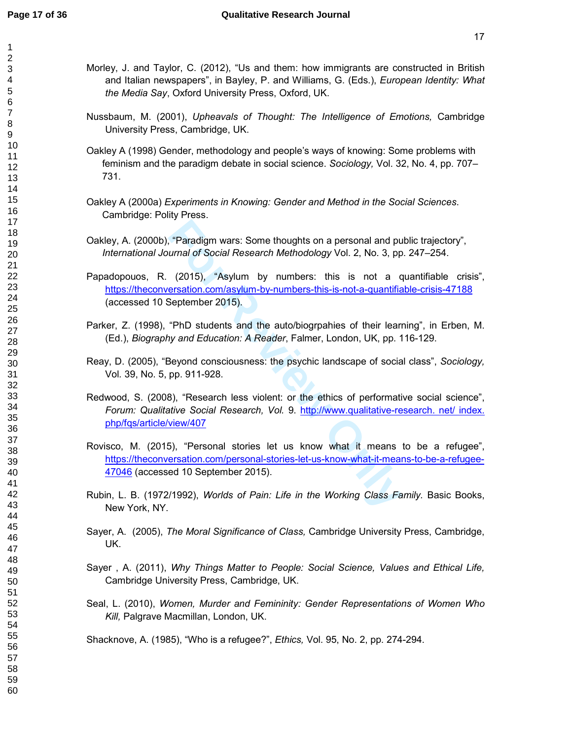$\mathbf{1}$ 

- Morley, J. and Taylor, C. (2012), "Us and them: how immigrants are constructed in British and Italian newspapers", in Bayley, P. and Williams, G. (Eds.), *European Identity: What the Media Say*, Oxford University Press, Oxford, UK.
- Nussbaum, M. (2001), *Upheavals of Thought: The Intelligence of Emotions,* Cambridge University Press, Cambridge, UK.
- Oakley A (1998) Gender, methodology and people's ways of knowing: Some problems with feminism and the paradigm debate in social science. *Sociology,* Vol. 32, No. 4, pp. 707– 731.
- Oakley A (2000a) *Experiments in Knowing: Gender and Method in the Social Sciences*. Cambridge: Polity Press.
- Oakley, A. (2000b), "Paradigm wars: Some thoughts on a personal and public trajectory", *International Journal of Social Research Methodology* Vol. 2, No. 3, pp. 247–254.
- Franculary wars: Some thoughts on a personal and purnal of Social Research Methodology Vol. 2, No. 3, pp. (2015), "Asylum by numbers: this is not a constation.com/asylum-by-numbers: this is not a constantine example 2015). Papadopouos, R. (2015), "Asylum by numbers: this is not a quantifiable crisis", https://theconversation.com/asylum-by-numbers-this-is-not-a-quantifiable-crisis-47188 (accessed 10 September 2015).
- Parker, Z. (1998), "PhD students and the auto/biogrpahies of their learning", in Erben, M. (Ed.), *Biography and Education: A Reader*, Falmer, London, UK, pp. 116-129.
- Reay, D. (2005), "Beyond consciousness: the psychic landscape of social class", *Sociology,*  Vol*.* 39, No. 5, pp. 911-928.
- Redwood, S. (2008), "Research less violent: or the ethics of performative social science", *Forum: Qualitative Social Research, Vol.* 9. http://www.qualitative-research. net/ index. php/fqs/article/view/407
- Rovisco, M. (2015), "Personal stories let us know what it means to be a refugee", https://theconversation.com/personal-stories-let-us-know-what-it-means-to-be-a-refugee-47046 (accessed 10 September 2015).
- Rubin, L. B. (1972/1992), *Worlds of Pain: Life in the Working Class Family.* Basic Books, New York, NY.
- Sayer, A. (2005), *The Moral Significance of Class,* Cambridge University Press, Cambridge, UK.
- Sayer , A. (2011), *Why Things Matter to People: Social Science, Values and Ethical Life,*  Cambridge University Press, Cambridge, UK.
- Seal, L. (2010), *Women, Murder and Femininity: Gender Representations of Women Who Kill,* Palgrave Macmillan, London, UK.

Shacknove, A. (1985), "Who is a refugee?", *Ethics,* Vol. 95, No. 2, pp. 274-294.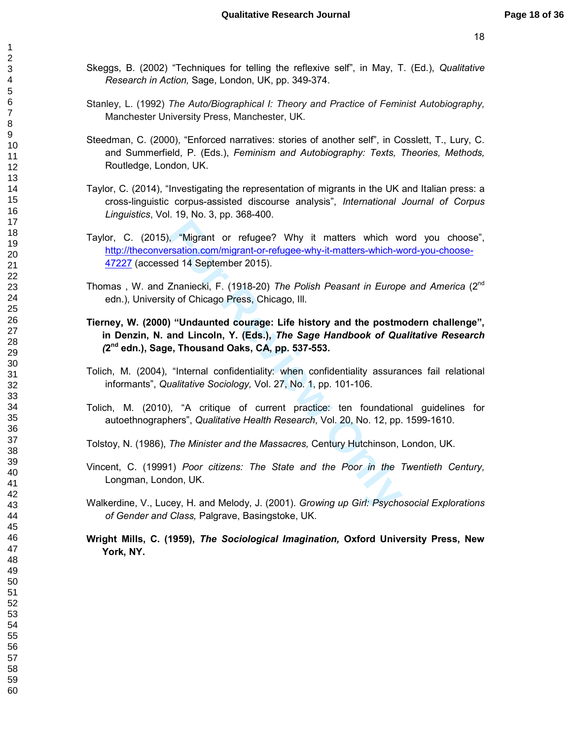- Skeggs, B. (2002) "Techniques for telling the reflexive self", in May, T. (Ed.), *Qualitative Research in Action,* Sage, London, UK, pp. 349-374.
- Stanley, L. (1992) *The Auto/Biographical I: Theory and Practice of Feminist Autobiography,* Manchester University Press, Manchester, UK.
- Steedman, C. (2000), "Enforced narratives: stories of another self", in Cosslett, T., Lury, C. and Summerfield, P. (Eds.), *Feminism and Autobiography: Texts, Theories, Methods,*  Routledge, London, UK.
- Taylor, C. (2014), "Investigating the representation of migrants in the UK and Italian press: a cross-linguistic corpus-assisted discourse analysis", *International Journal of Corpus Linguistics*, Vol. 19, No. 3, pp. 368-400.
- **Formular Symbol Entity Control in the Control Control Constant Control Constant Constant Constant Constant Constant Constant Constant Constant Constant Constant Constant Constant Constant Constant Constant Constant Consta** Taylor, C. (2015), "Migrant or refugee? Why it matters which word you choose", http://theconversation.com/migrant-or-refugee-why-it-matters-which-word-you-choose-47227 (accessed 14 September 2015).
- Thomas , W. and Znaniecki, F. (1918-20) *The Polish Peasant in Europe and America* (2nd edn.), University of Chicago Press, Chicago, Ill.
- **Tierney, W. (2000) "Undaunted courage: Life history and the postmodern challenge", in Denzin, N. and Lincoln, Y. (Eds.),** *The Sage Handbook of Qualitative Research (***<sup>2</sup> nd edn.), Sage, Thousand Oaks, CA, pp. 537-553.**
- Tolich, M. (2004), "Internal confidentiality: when confidentiality assurances fail relational informants", *Qualitative Sociology,* Vol. 27, No. 1, pp. 101-106.
- Tolich, M. (2010), "A critique of current practice: ten foundational guidelines for autoethnographers", *Qualitative Health Research*, Vol. 20, No. 12, pp. 1599-1610.
- Tolstoy, N. (1986), *The Minister and the Massacres,* Century Hutchinson, London, UK.
- Vincent, C. (19991) *Poor citizens: The State and the Poor in the Twentieth Century,*  Longman, London, UK.
- Walkerdine, V., Lucey, H. and Melody, J. (2001). *Growing up Girl: Psychosocial Explorations of Gender and Class,* Palgrave, Basingstoke, UK.
- **Wright Mills, C. (1959),** *The Sociological Imagination,* **Oxford University Press, New York, NY.**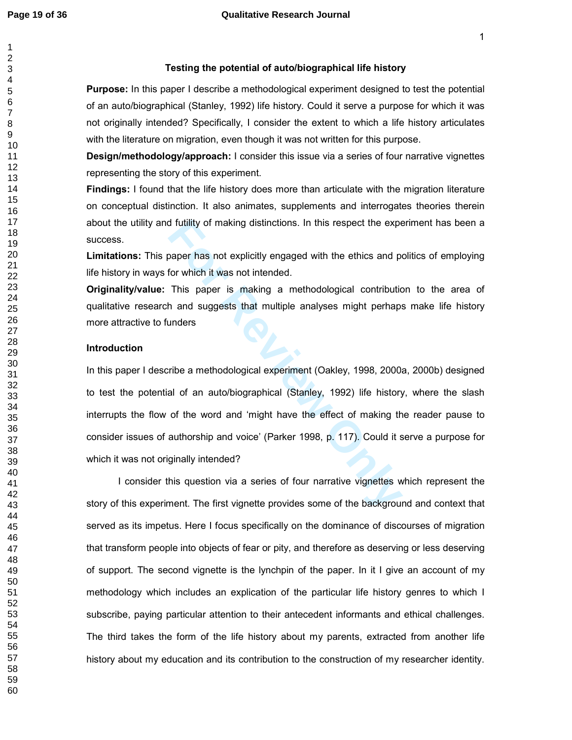# **Testing the potential of auto/biographical life history**

**Purpose:** In this paper I describe a methodological experiment designed to test the potential of an auto/biographical (Stanley, 1992) life history. Could it serve a purpose for which it was not originally intended? Specifically, I consider the extent to which a life history articulates with the literature on migration, even though it was not written for this purpose.

**Design/methodology/approach:** I consider this issue via a series of four narrative vignettes representing the story of this experiment.

**Findings:** I found that the life history does more than articulate with the migration literature on conceptual distinction. It also animates, supplements and interrogates theories therein about the utility and futility of making distinctions. In this respect the experiment has been a success.

**Limitations:** This paper has not explicitly engaged with the ethics and politics of employing life history in ways for which it was not intended.

**Originality/value:** This paper is making a methodological contribution to the area of qualitative research and suggests that multiple analyses might perhaps make life history more attractive to funders

#### **Introduction**

If futility of making distinctions. In this respect the expert<br>paper has not explicitly engaged with the ethics and proton which it was not intended.<br>This paper is making a methodological contribution<br>and suggests that mul In this paper I describe a methodological experiment (Oakley, 1998, 2000a, 2000b) designed to test the potential of an auto/biographical (Stanley, 1992) life history, where the slash interrupts the flow of the word and 'might have the effect of making the reader pause to consider issues of authorship and voice' (Parker 1998, p. 117). Could it serve a purpose for which it was not originally intended?

I consider this question via a series of four narrative vignettes which represent the story of this experiment. The first vignette provides some of the background and context that served as its impetus. Here I focus specifically on the dominance of discourses of migration that transform people into objects of fear or pity, and therefore as deserving or less deserving of support. The second vignette is the lynchpin of the paper. In it I give an account of my methodology which includes an explication of the particular life history genres to which I subscribe, paying particular attention to their antecedent informants and ethical challenges. The third takes the form of the life history about my parents, extracted from another life history about my education and its contribution to the construction of my researcher identity.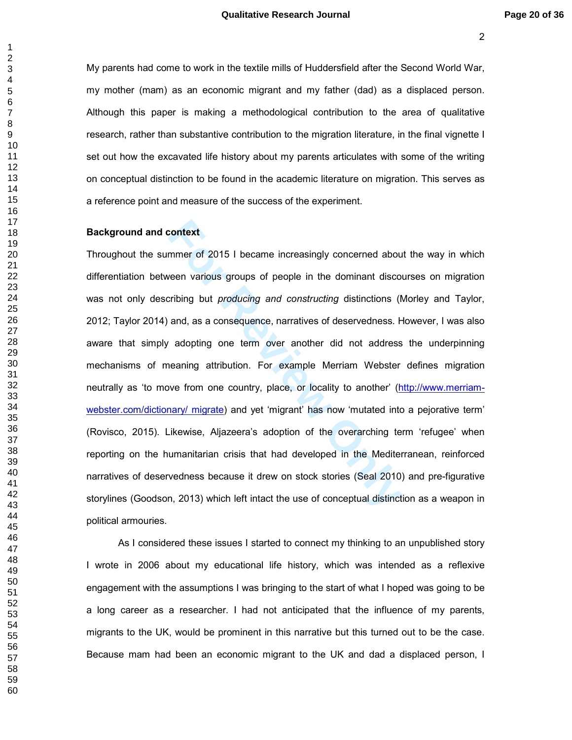My parents had come to work in the textile mills of Huddersfield after the Second World War, my mother (mam) as an economic migrant and my father (dad) as a displaced person. Although this paper is making a methodological contribution to the area of qualitative research, rather than substantive contribution to the migration literature, in the final vignette I set out how the excavated life history about my parents articulates with some of the writing on conceptual distinction to be found in the academic literature on migration. This serves as a reference point and measure of the success of the experiment.

#### **Background and context**

context<br>mmer of 2015 I became increasingly concerned about<br>veen various groups of people in the dominant discolution<br>and, as a consequence, narratives of deservedness. For<br>adopting one term over another did not address<br>nea Throughout the summer of 2015 I became increasingly concerned about the way in which differentiation between various groups of people in the dominant discourses on migration was not only describing but *producing and constructing* distinctions (Morley and Taylor, 2012; Taylor 2014) and, as a consequence, narratives of deservedness. However, I was also aware that simply adopting one term over another did not address the underpinning mechanisms of meaning attribution. For example Merriam Webster defines migration neutrally as 'to move from one country, place, or locality to another' (http://www.merriamwebster.com/dictionary/ migrate) and yet 'migrant' has now 'mutated into a pejorative term' (Rovisco, 2015). Likewise, Aljazeera's adoption of the overarching term 'refugee' when reporting on the humanitarian crisis that had developed in the Mediterranean, reinforced narratives of deservedness because it drew on stock stories (Seal 2010) and pre-figurative storylines (Goodson, 2013) which left intact the use of conceptual distinction as a weapon in political armouries.

As I considered these issues I started to connect my thinking to an unpublished story I wrote in 2006 about my educational life history, which was intended as a reflexive engagement with the assumptions I was bringing to the start of what I hoped was going to be a long career as a researcher. I had not anticipated that the influence of my parents, migrants to the UK, would be prominent in this narrative but this turned out to be the case. Because mam had been an economic migrant to the UK and dad a displaced person, I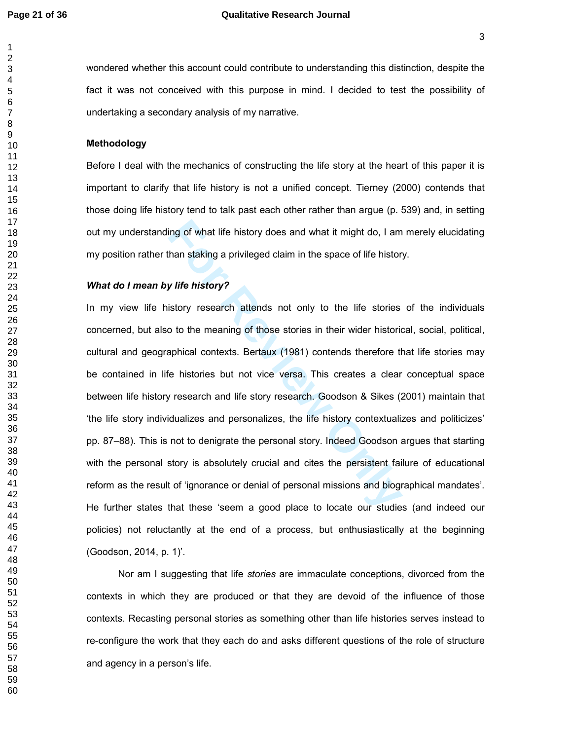#### **Page 21 of 36 Qualitative Research Journal**

wondered whether this account could contribute to understanding this distinction, despite the fact it was not conceived with this purpose in mind. I decided to test the possibility of undertaking a secondary analysis of my narrative.

## **Methodology**

Before I deal with the mechanics of constructing the life story at the heart of this paper it is important to clarify that life history is not a unified concept. Tierney (2000) contends that those doing life history tend to talk past each other rather than argue (p. 539) and, in setting out my understanding of what life history does and what it might do, I am merely elucidating my position rather than staking a privileged claim in the space of life history.

# *What do I mean by life history?*

ing of what life history does and what it might do, I am<br>han staking a privileged claim in the space of life histor<br>y *life history?*<br>istory research attends not only to the life stories<br>o to the meaning of those stories i In my view life history research attends not only to the life stories of the individuals concerned, but also to the meaning of those stories in their wider historical, social, political, cultural and geographical contexts. Bertaux (1981) contends therefore that life stories may be contained in life histories but not vice versa. This creates a clear conceptual space between life history research and life story research. Goodson & Sikes (2001) maintain that 'the life story individualizes and personalizes, the life history contextualizes and politicizes' pp. 87–88). This is not to denigrate the personal story. Indeed Goodson argues that starting with the personal story is absolutely crucial and cites the persistent failure of educational reform as the result of 'ignorance or denial of personal missions and biographical mandates'. He further states that these 'seem a good place to locate our studies (and indeed our policies) not reluctantly at the end of a process, but enthusiastically at the beginning (Goodson, 2014, p. 1)'.

Nor am I suggesting that life *stories* are immaculate conceptions, divorced from the contexts in which they are produced or that they are devoid of the influence of those contexts. Recasting personal stories as something other than life histories serves instead to re-configure the work that they each do and asks different questions of the role of structure and agency in a person's life.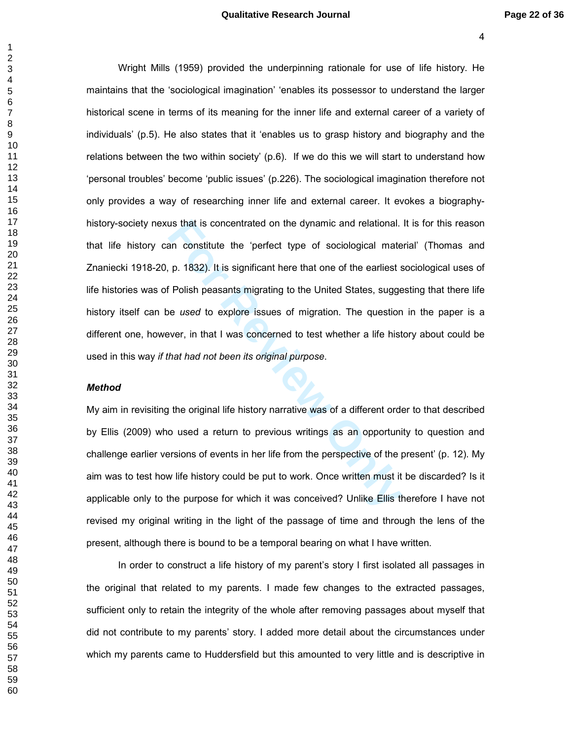#### **Qualitative Research Journal Page 22 of 36**

In the is concentrated on the dynamic and relational.<br>
An constitute the 'perfect type of sociological mate<br>
p. 1832). It is significant here that one of the earliest s<br>
Folish peasants migrating to the United States, sugg Wright Mills (1959) provided the underpinning rationale for use of life history. He maintains that the 'sociological imagination' 'enables its possessor to understand the larger historical scene in terms of its meaning for the inner life and external career of a variety of individuals' (p.5). He also states that it 'enables us to grasp history and biography and the relations between the two within society' (p.6). If we do this we will start to understand how 'personal troubles' become 'public issues' (p.226). The sociological imagination therefore not only provides a way of researching inner life and external career. It evokes a biographyhistory-society nexus that is concentrated on the dynamic and relational. It is for this reason that life history can constitute the 'perfect type of sociological material' (Thomas and Znaniecki 1918-20, p. 1832). It is significant here that one of the earliest sociological uses of life histories was of Polish peasants migrating to the United States, suggesting that there life history itself can be *used* to explore issues of migration. The question in the paper is a different one, however, in that I was concerned to test whether a life history about could be used in this way *if that had not been its original purpose*.

# *Method*

My aim in revisiting the original life history narrative was of a different order to that described by Ellis (2009) who used a return to previous writings as an opportunity to question and challenge earlier versions of events in her life from the perspective of the present' (p. 12). My aim was to test how life history could be put to work. Once written must it be discarded? Is it applicable only to the purpose for which it was conceived? Unlike Ellis therefore I have not revised my original writing in the light of the passage of time and through the lens of the present, although there is bound to be a temporal bearing on what I have written.

In order to construct a life history of my parent's story I first isolated all passages in the original that related to my parents. I made few changes to the extracted passages, sufficient only to retain the integrity of the whole after removing passages about myself that did not contribute to my parents' story. I added more detail about the circumstances under which my parents came to Huddersfield but this amounted to very little and is descriptive in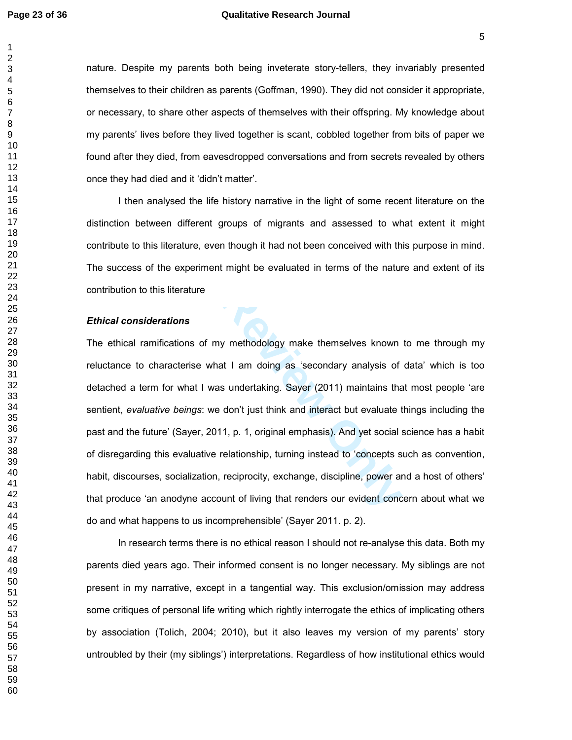## **Page 23 of 36 Qualitative Research Journal**

nature. Despite my parents both being inveterate story-tellers, they invariably presented themselves to their children as parents (Goffman, 1990). They did not consider it appropriate, or necessary, to share other aspects of themselves with their offspring. My knowledge about my parents' lives before they lived together is scant, cobbled together from bits of paper we found after they died, from eavesdropped conversations and from secrets revealed by others once they had died and it 'didn't matter'.

I then analysed the life history narrative in the light of some recent literature on the distinction between different groups of migrants and assessed to what extent it might contribute to this literature, even though it had not been conceived with this purpose in mind. The success of the experiment might be evaluated in terms of the nature and extent of its contribution to this literature

### *Ethical considerations*

The different groups of migrants and assessed to wherature, even though it had not been conceived with the experiment might be evaluated in terms of the nature different<br>experiment might be evaluated in terms of the nature The ethical ramifications of my methodology make themselves known to me through my reluctance to characterise what I am doing as 'secondary analysis of data' which is too detached a term for what I was undertaking. Sayer (2011) maintains that most people 'are sentient, *evaluative beings*: we don't just think and interact but evaluate things including the past and the future' (Sayer, 2011, p. 1, original emphasis). And yet social science has a habit of disregarding this evaluative relationship, turning instead to 'concepts such as convention, habit, discourses, socialization, reciprocity, exchange, discipline, power and a host of others' that produce 'an anodyne account of living that renders our evident concern about what we do and what happens to us incomprehensible' (Sayer 2011. p. 2).

In research terms there is no ethical reason I should not re-analyse this data. Both my parents died years ago. Their informed consent is no longer necessary. My siblings are not present in my narrative, except in a tangential way. This exclusion/omission may address some critiques of personal life writing which rightly interrogate the ethics of implicating others by association (Tolich, 2004; 2010), but it also leaves my version of my parents' story untroubled by their (my siblings') interpretations. Regardless of how institutional ethics would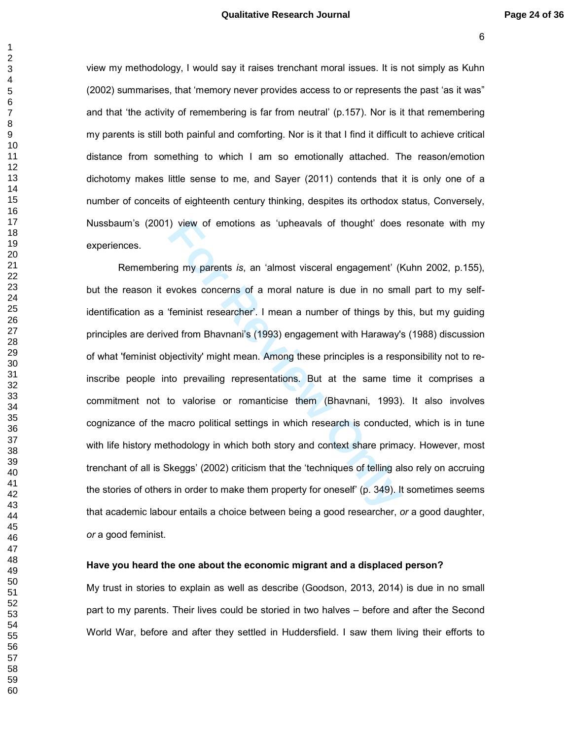view my methodology, I would say it raises trenchant moral issues. It is not simply as Kuhn (2002) summarises, that 'memory never provides access to or represents the past 'as it was" and that 'the activity of remembering is far from neutral' (p.157). Nor is it that remembering my parents is still both painful and comforting. Nor is it that I find it difficult to achieve critical distance from something to which I am so emotionally attached. The reason/emotion dichotomy makes little sense to me, and Sayer (2011) contends that it is only one of a number of conceits of eighteenth century thinking, despites its orthodox status, Conversely, Nussbaum's (2001) view of emotions as 'upheavals of thought' does resonate with my experiences.

of emotions as 'upheavals of thought' does<br>
In my parents *is*, an 'almost visceral engagement' (P<br>
Forminist researcher'. I mean a number of things by the<br>
Ed from Bhavnani's (1993) engagement with Haraway's<br>
Forminist re Remembering my parents *is*, an 'almost visceral engagement' (Kuhn 2002, p.155), but the reason it evokes concerns of a moral nature is due in no small part to my selfidentification as a 'feminist researcher'. I mean a number of things by this, but my guiding principles are derived from Bhavnani's (1993) engagement with Haraway's (1988) discussion of what 'feminist objectivity' might mean. Among these principles is a responsibility not to reinscribe people into prevailing representations. But at the same time it comprises a commitment not to valorise or romanticise them (Bhavnani, 1993). It also involves cognizance of the macro political settings in which research is conducted, which is in tune with life history methodology in which both story and context share primacy. However, most trenchant of all is Skeggs' (2002) criticism that the 'techniques of telling also rely on accruing the stories of others in order to make them property for oneself' (p. 349). It sometimes seems that academic labour entails a choice between being a good researcher, *or* a good daughter, *or* a good feminist.

# **Have you heard the one about the economic migrant and a displaced person?**

My trust in stories to explain as well as describe (Goodson, 2013, 2014) is due in no small part to my parents. Their lives could be storied in two halves – before and after the Second World War, before and after they settled in Huddersfield. I saw them living their efforts to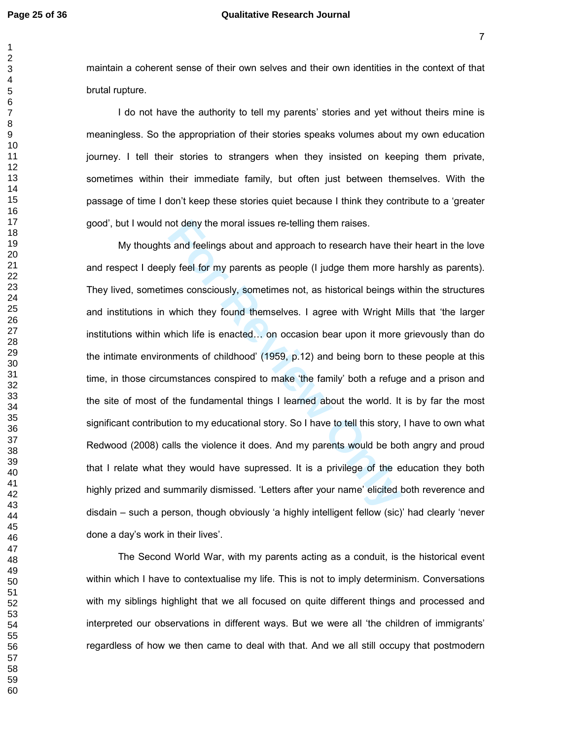# **Page 25 of 36 Qualitative Research Journal**

maintain a coherent sense of their own selves and their own identities in the context of that brutal rupture.

I do not have the authority to tell my parents' stories and yet without theirs mine is meaningless. So the appropriation of their stories speaks volumes about my own education journey. I tell their stories to strangers when they insisted on keeping them private, sometimes within their immediate family, but often just between themselves. With the passage of time I don't keep these stories quiet because I think they contribute to a 'greater good', but I would not deny the moral issues re-telling them raises.

not deny the moral issues re-telling them raises.<br> **For Review School and approach to research have that**<br> **For Review Only considers** as people (I judge them more h<br>
mes consciously, sometimes not, as historical beings w<br> My thoughts and feelings about and approach to research have their heart in the love and respect I deeply feel for my parents as people (I judge them more harshly as parents). They lived, sometimes consciously, sometimes not, as historical beings within the structures and institutions in which they found themselves. I agree with Wright Mills that 'the larger institutions within which life is enacted... on occasion bear upon it more grievously than do the intimate environments of childhood' (1959, p.12) and being born to these people at this time, in those circumstances conspired to make 'the family' both a refuge and a prison and the site of most of the fundamental things I learned about the world. It is by far the most significant contribution to my educational story. So I have to tell this story, I have to own what Redwood (2008) calls the violence it does. And my parents would be both angry and proud that I relate what they would have supressed. It is a privilege of the education they both highly prized and summarily dismissed. 'Letters after your name' elicited both reverence and disdain – such a person, though obviously 'a highly intelligent fellow (sic)' had clearly 'never done a day's work in their lives'.

The Second World War, with my parents acting as a conduit, is the historical event within which I have to contextualise my life. This is not to imply determinism. Conversations with my siblings highlight that we all focused on quite different things and processed and interpreted our observations in different ways. But we were all 'the children of immigrants' regardless of how we then came to deal with that. And we all still occupy that postmodern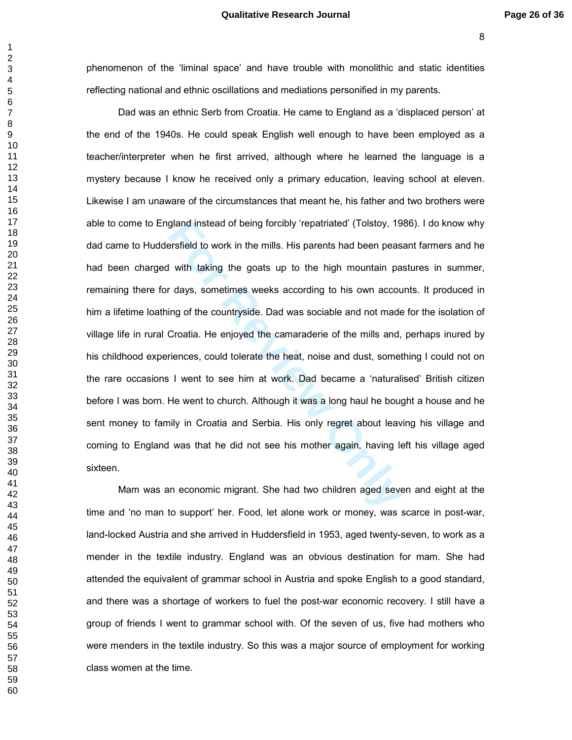phenomenon of the 'liminal space' and have trouble with monolithic and static identities reflecting national and ethnic oscillations and mediations personified in my parents.

gland instead of being forcibly 'repatriated' (Tolstoy, 19<br>ersfield to work in the mills. His parents had been peas<br>I with taking the goats up to the high mountain pa<br>r days, sometimes weeks according to his own accou<br>ing Dad was an ethnic Serb from Croatia. He came to England as a 'displaced person' at the end of the 1940s. He could speak English well enough to have been employed as a teacher/interpreter when he first arrived, although where he learned the language is a mystery because I know he received only a primary education, leaving school at eleven. Likewise I am unaware of the circumstances that meant he, his father and two brothers were able to come to England instead of being forcibly 'repatriated' (Tolstoy, 1986). I do know why dad came to Huddersfield to work in the mills. His parents had been peasant farmers and he had been charged with taking the goats up to the high mountain pastures in summer, remaining there for days, sometimes weeks according to his own accounts. It produced in him a lifetime loathing of the countryside. Dad was sociable and not made for the isolation of village life in rural Croatia. He enjoyed the camaraderie of the mills and, perhaps inured by his childhood experiences, could tolerate the heat, noise and dust, something I could not on the rare occasions I went to see him at work. Dad became a 'naturalised' British citizen before I was born. He went to church. Although it was a long haul he bought a house and he sent money to family in Croatia and Serbia. His only regret about leaving his village and coming to England was that he did not see his mother again, having left his village aged sixteen.

Mam was an economic migrant. She had two children aged seven and eight at the time and 'no man to support' her. Food, let alone work or money, was scarce in post-war, land-locked Austria and she arrived in Huddersfield in 1953, aged twenty-seven, to work as a mender in the textile industry. England was an obvious destination for mam. She had attended the equivalent of grammar school in Austria and spoke English to a good standard, and there was a shortage of workers to fuel the post-war economic recovery. I still have a group of friends I went to grammar school with. Of the seven of us, five had mothers who were menders in the textile industry. So this was a major source of employment for working class women at the time.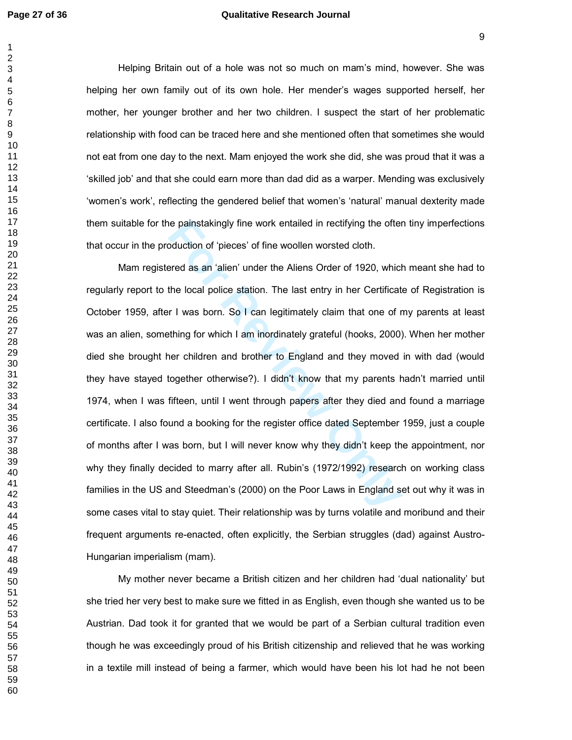$\mathbf{1}$ 

# **Page 27 of 36 Qualitative Research Journal**

Helping Britain out of a hole was not so much on mam's mind, however. She was helping her own family out of its own hole. Her mender's wages supported herself, her mother, her younger brother and her two children. I suspect the start of her problematic relationship with food can be traced here and she mentioned often that sometimes she would not eat from one day to the next. Mam enjoyed the work she did, she was proud that it was a 'skilled job' and that she could earn more than dad did as a warper. Mending was exclusively 'women's work', reflecting the gendered belief that women's 'natural' manual dexterity made them suitable for the painstakingly fine work entailed in rectifying the often tiny imperfections that occur in the production of 'pieces' of fine woollen worsted cloth.

ie painstakingly fine work entailed in rectifying the ofter<br>oduction of 'pieces' of fine woollen worsted cloth.<br>Fred as an 'alien' under the Aliens Order of 1920, which<br>the local police station. The last entry in her Certi Mam registered as an 'alien' under the Aliens Order of 1920, which meant she had to regularly report to the local police station. The last entry in her Certificate of Registration is October 1959, after I was born. So I can legitimately claim that one of my parents at least was an alien, something for which I am inordinately grateful (hooks, 2000). When her mother died she brought her children and brother to England and they moved in with dad (would they have stayed together otherwise?). I didn't know that my parents hadn't married until 1974, when I was fifteen, until I went through papers after they died and found a marriage certificate. I also found a booking for the register office dated September 1959, just a couple of months after I was born, but I will never know why they didn't keep the appointment, nor why they finally decided to marry after all. Rubin's (1972/1992) research on working class families in the US and Steedman's (2000) on the Poor Laws in England set out why it was in some cases vital to stay quiet. Their relationship was by turns volatile and moribund and their frequent arguments re-enacted, often explicitly, the Serbian struggles (dad) against Austro-Hungarian imperialism (mam).

My mother never became a British citizen and her children had 'dual nationality' but she tried her very best to make sure we fitted in as English, even though she wanted us to be Austrian. Dad took it for granted that we would be part of a Serbian cultural tradition even though he was exceedingly proud of his British citizenship and relieved that he was working in a textile mill instead of being a farmer, which would have been his lot had he not been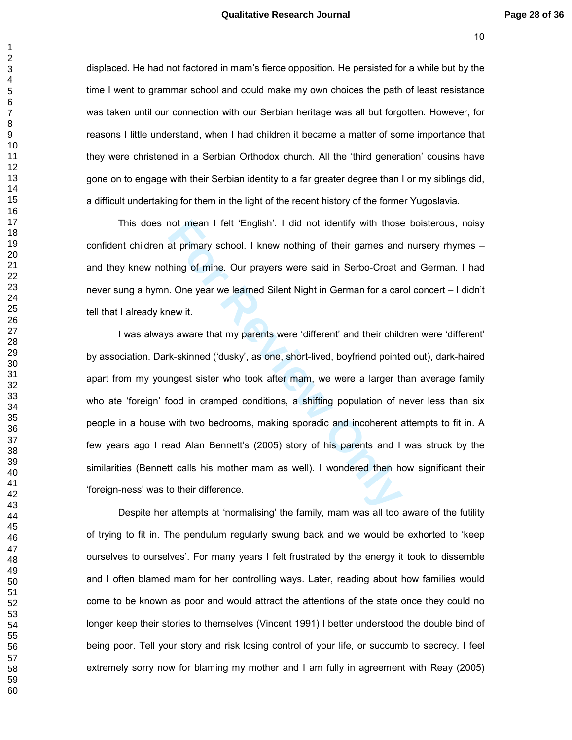displaced. He had not factored in mam's fierce opposition. He persisted for a while but by the time I went to grammar school and could make my own choices the path of least resistance was taken until our connection with our Serbian heritage was all but forgotten. However, for reasons I little understand, when I had children it became a matter of some importance that they were christened in a Serbian Orthodox church. All the 'third generation' cousins have gone on to engage with their Serbian identity to a far greater degree than I or my siblings did, a difficult undertaking for them in the light of the recent history of the former Yugoslavia.

This does not mean I felt 'English'. I did not identify with those boisterous, noisy confident children at primary school. I knew nothing of their games and nursery rhymes – and they knew nothing of mine. Our prayers were said in Serbo-Croat and German. I had never sung a hymn. One year we learned Silent Night in German for a carol concert – I didn't tell that I already knew it.

not mean I felt 'English'. I did not identify with those<br>at primary school. I knew nothing of their games and<br>hing of mine. Our prayers were said in Serbo-Croat a<br>i. One year we learned Silent Night in German for a car<br>new I was always aware that my parents were 'different' and their children were 'different' by association. Dark-skinned ('dusky', as one, short-lived, boyfriend pointed out), dark-haired apart from my youngest sister who took after mam, we were a larger than average family who ate 'foreign' food in cramped conditions, a shifting population of never less than six people in a house with two bedrooms, making sporadic and incoherent attempts to fit in. A few years ago I read Alan Bennett's (2005) story of his parents and I was struck by the similarities (Bennett calls his mother mam as well). I wondered then how significant their 'foreign-ness' was to their difference.

Despite her attempts at 'normalising' the family, mam was all too aware of the futility of trying to fit in. The pendulum regularly swung back and we would be exhorted to 'keep ourselves to ourselves'. For many years I felt frustrated by the energy it took to dissemble and I often blamed mam for her controlling ways. Later, reading about how families would come to be known as poor and would attract the attentions of the state once they could no longer keep their stories to themselves (Vincent 1991) I better understood the double bind of being poor. Tell your story and risk losing control of your life, or succumb to secrecy. I feel extremely sorry now for blaming my mother and I am fully in agreement with Reay (2005)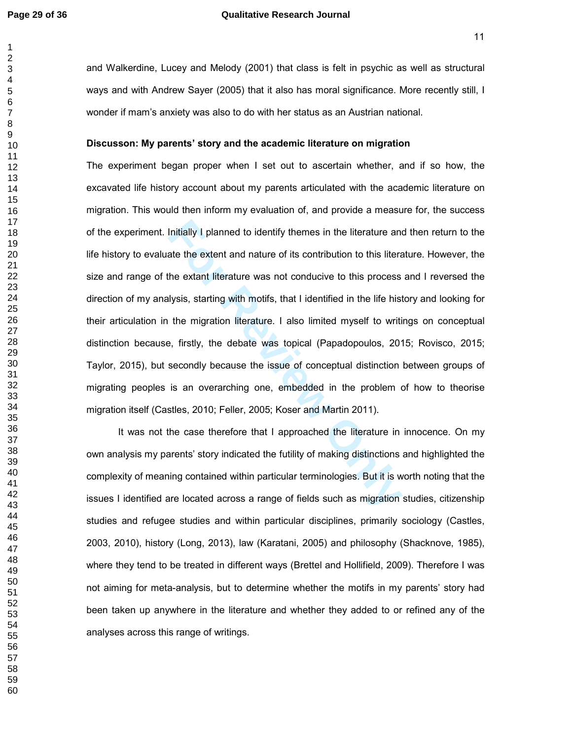# **Page 29 of 36 Qualitative Research Journal**

and Walkerdine, Lucey and Melody (2001) that class is felt in psychic as well as structural ways and with Andrew Sayer (2005) that it also has moral significance. More recently still, I wonder if mam's anxiety was also to do with her status as an Austrian national.

#### **Discusson: My parents' story and the academic literature on migration**

Initially I planned to identify themes in the literature and<br>ate the extent and nature of its contribution to this literate<br>he extant literature was not conducive to this process<br>lysis, starting with motifs, that I identif The experiment began proper when I set out to ascertain whether, and if so how, the excavated life history account about my parents articulated with the academic literature on migration. This would then inform my evaluation of, and provide a measure for, the success of the experiment. Initially I planned to identify themes in the literature and then return to the life history to evaluate the extent and nature of its contribution to this literature. However, the size and range of the extant literature was not conducive to this process and I reversed the direction of my analysis, starting with motifs, that I identified in the life history and looking for their articulation in the migration literature. I also limited myself to writings on conceptual distinction because, firstly, the debate was topical (Papadopoulos, 2015; Rovisco, 2015; Taylor, 2015), but secondly because the issue of conceptual distinction between groups of migrating peoples is an overarching one, embedded in the problem of how to theorise migration itself (Castles, 2010; Feller, 2005; Koser and Martin 2011).

It was not the case therefore that I approached the literature in innocence. On my own analysis my parents' story indicated the futility of making distinctions and highlighted the complexity of meaning contained within particular terminologies. But it is worth noting that the issues I identified are located across a range of fields such as migration studies, citizenship studies and refugee studies and within particular disciplines, primarily sociology (Castles, 2003, 2010), history (Long, 2013), law (Karatani, 2005) and philosophy (Shacknove, 1985), where they tend to be treated in different ways (Brettel and Hollifield, 2009). Therefore I was not aiming for meta-analysis, but to determine whether the motifs in my parents' story had been taken up anywhere in the literature and whether they added to or refined any of the analyses across this range of writings.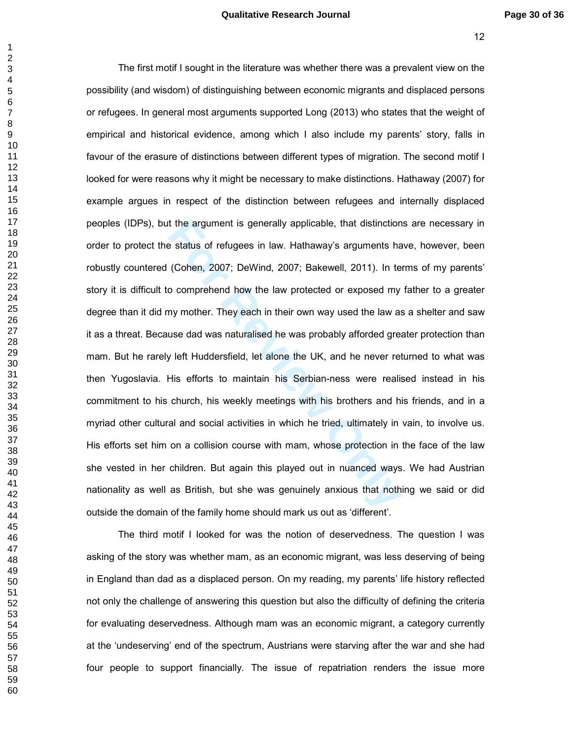#### **Qualitative Research Journal Page 30 of 36**

t the argument is generally applicable, that distinction<br>
e status of refugees in law. Hathaway's arguments ha<br>
(Cohen, 2007; DeWind, 2007; Bakewell, 2011). In te<br>
o comprehend how the law protected or exposed my<br>
my mothe The first motif I sought in the literature was whether there was a prevalent view on the possibility (and wisdom) of distinguishing between economic migrants and displaced persons or refugees. In general most arguments supported Long (2013) who states that the weight of empirical and historical evidence, among which I also include my parents' story, falls in favour of the erasure of distinctions between different types of migration. The second motif I looked for were reasons why it might be necessary to make distinctions. Hathaway (2007) for example argues in respect of the distinction between refugees and internally displaced peoples (IDPs), but the argument is generally applicable, that distinctions are necessary in order to protect the status of refugees in law. Hathaway's arguments have, however, been robustly countered (Cohen, 2007; DeWind, 2007; Bakewell, 2011). In terms of my parents' story it is difficult to comprehend how the law protected or exposed my father to a greater degree than it did my mother. They each in their own way used the law as a shelter and saw it as a threat. Because dad was naturalised he was probably afforded greater protection than mam. But he rarely left Huddersfield, let alone the UK, and he never returned to what was then Yugoslavia. His efforts to maintain his Serbian-ness were realised instead in his commitment to his church, his weekly meetings with his brothers and his friends, and in a myriad other cultural and social activities in which he tried, ultimately in vain, to involve us. His efforts set him on a collision course with mam, whose protection in the face of the law she vested in her children. But again this played out in nuanced ways. We had Austrian nationality as well as British, but she was genuinely anxious that nothing we said or did outside the domain of the family home should mark us out as 'different'.

The third motif I looked for was the notion of deservedness. The question I was asking of the story was whether mam, as an economic migrant, was less deserving of being in England than dad as a displaced person. On my reading, my parents' life history reflected not only the challenge of answering this question but also the difficulty of defining the criteria for evaluating deservedness. Although mam was an economic migrant, a category currently at the 'undeserving' end of the spectrum, Austrians were starving after the war and she had four people to support financially. The issue of repatriation renders the issue more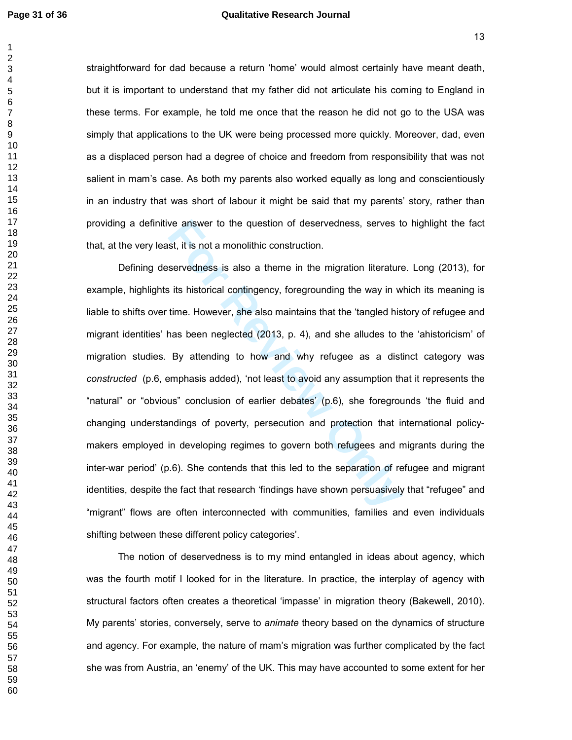# **Page 31 of 36 Qualitative Research Journal**

  straightforward for dad because a return 'home' would almost certainly have meant death, but it is important to understand that my father did not articulate his coming to England in these terms. For example, he told me once that the reason he did not go to the USA was simply that applications to the UK were being processed more quickly. Moreover, dad, even as a displaced person had a degree of choice and freedom from responsibility that was not salient in mam's case. As both my parents also worked equally as long and conscientiously in an industry that was short of labour it might be said that my parents' story, rather than providing a definitive answer to the question of deservedness, serves to highlight the fact that, at the very least, it is not a monolithic construction.

ist, it is not a monolithic construction.<br>
Servedness is also a theme in the migration literature<br>
servedness is also a theme in the migration literature<br>
its historical contingency, foregrounding the way in w<br>
time. Howev Defining deservedness is also a theme in the migration literature. Long (2013), for example, highlights its historical contingency, foregrounding the way in which its meaning is liable to shifts over time. However, she also maintains that the 'tangled history of refugee and migrant identities' has been neglected (2013, p. 4), and she alludes to the 'ahistoricism' of migration studies. By attending to how and why refugee as a distinct category was *constructed* (p.6, emphasis added), 'not least to avoid any assumption that it represents the "natural" or "obvious" conclusion of earlier debates' (p.6), she foregrounds 'the fluid and changing understandings of poverty, persecution and protection that international policymakers employed in developing regimes to govern both refugees and migrants during the inter-war period' (p.6). She contends that this led to the separation of refugee and migrant identities, despite the fact that research 'findings have shown persuasively that "refugee" and "migrant" flows are often interconnected with communities, families and even individuals shifting between these different policy categories'.

The notion of deservedness is to my mind entangled in ideas about agency, which was the fourth motif I looked for in the literature. In practice, the interplay of agency with structural factors often creates a theoretical 'impasse' in migration theory (Bakewell, 2010). My parents' stories, conversely, serve to *animate* theory based on the dynamics of structure and agency. For example, the nature of mam's migration was further complicated by the fact she was from Austria, an 'enemy' of the UK. This may have accounted to some extent for her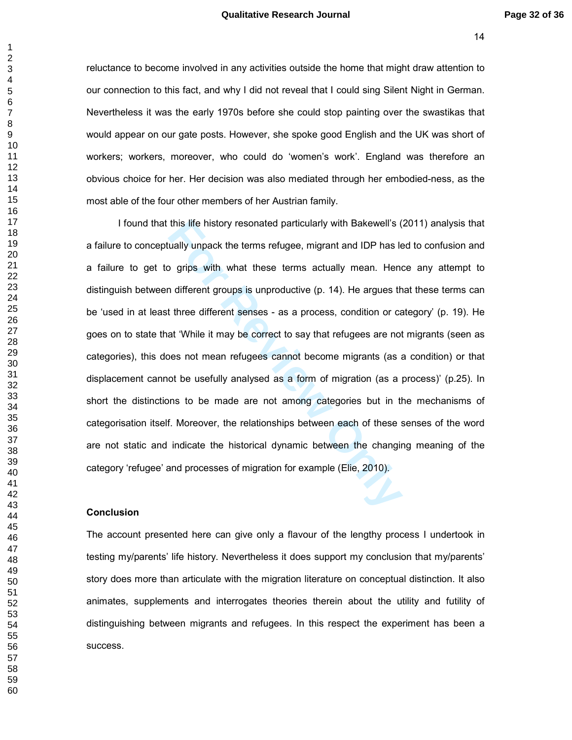reluctance to become involved in any activities outside the home that might draw attention to our connection to this fact, and why I did not reveal that I could sing Silent Night in German. Nevertheless it was the early 1970s before she could stop painting over the swastikas that would appear on our gate posts. However, she spoke good English and the UK was short of workers; workers, moreover, who could do 'women's work'. England was therefore an obvious choice for her. Her decision was also mediated through her embodied-ness, as the most able of the four other members of her Austrian family.

this life history resonated particularly with Bakewell's (<br>
ually unpack the terms refugee, migrant and IDP has le<br>
19 grips with what these terms actually mean. Hen<br>
1 different groups is unproductive (p. 14). He argues t I found that this life history resonated particularly with Bakewell's (2011) analysis that a failure to conceptually unpack the terms refugee, migrant and IDP has led to confusion and a failure to get to grips with what these terms actually mean. Hence any attempt to distinguish between different groups is unproductive (p. 14). He argues that these terms can be 'used in at least three different senses - as a process, condition or category' (p. 19). He goes on to state that 'While it may be correct to say that refugees are not migrants (seen as categories), this does not mean refugees cannot become migrants (as a condition) or that displacement cannot be usefully analysed as a form of migration (as a process)' (p.25). In short the distinctions to be made are not among categories but in the mechanisms of categorisation itself. Moreover, the relationships between each of these senses of the word are not static and indicate the historical dynamic between the changing meaning of the category 'refugee' and processes of migration for example (Elie, 2010).

#### **Conclusion**

The account presented here can give only a flavour of the lengthy process I undertook in testing my/parents' life history. Nevertheless it does support my conclusion that my/parents' story does more than articulate with the migration literature on conceptual distinction. It also animates, supplements and interrogates theories therein about the utility and futility of distinguishing between migrants and refugees. In this respect the experiment has been a success.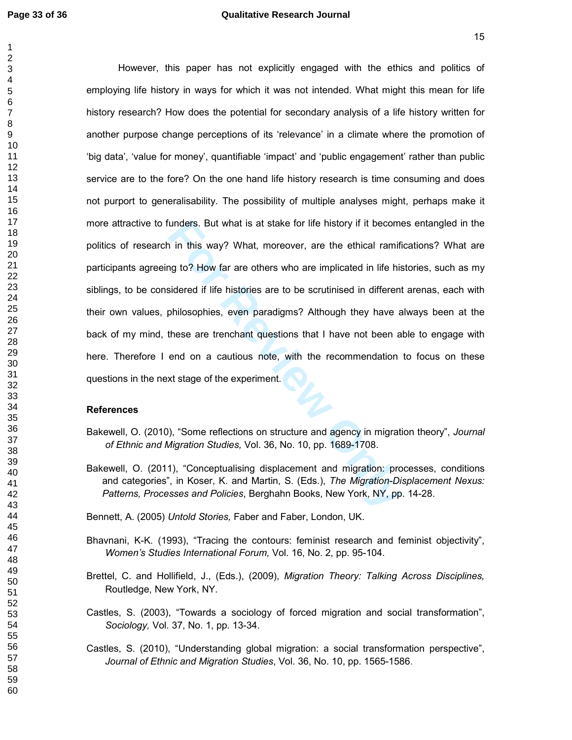unders. But what is at stake for life history if it becomention<br>
in this way? What, moreover, are the ethical ramifing to? How far are others who are implicated in life histories<br>
sidered if life histories are to be scruti However, this paper has not explicitly engaged with the ethics and politics of employing life history in ways for which it was not intended. What might this mean for life history research? How does the potential for secondary analysis of a life history written for another purpose change perceptions of its 'relevance' in a climate where the promotion of 'big data', 'value for money', quantifiable 'impact' and 'public engagement' rather than public service are to the fore? On the one hand life history research is time consuming and does not purport to generalisability. The possibility of multiple analyses might, perhaps make it more attractive to funders. But what is at stake for life history if it becomes entangled in the politics of research in this way? What, moreover, are the ethical ramifications? What are participants agreeing to? How far are others who are implicated in life histories, such as my siblings, to be considered if life histories are to be scrutinised in different arenas, each with their own values, philosophies, even paradigms? Although they have always been at the back of my mind, these are trenchant questions that I have not been able to engage with here. Therefore I end on a cautious note, with the recommendation to focus on these questions in the next stage of the experiment.

# **References**

- Bakewell, O. (2010), "Some reflections on structure and agency in migration theory", *Journal of Ethnic and Migration Studies,* Vol. 36, No. 10, pp. 1689-1708.
- Bakewell, O. (2011), "Conceptualising displacement and migration: processes, conditions and categories", in Koser, K. and Martin, S. (Eds.), *The Migration-Displacement Nexus: Patterns, Processes and Policies*, Berghahn Books, New York, NY, pp. 14-28.

Bennett, A. (2005) *Untold Stories,* Faber and Faber, London, UK.

- Bhavnani, K-K. (1993), "Tracing the contours: feminist research and feminist objectivity", *Women's Studies International Forum,* Vol. 16, No. 2, pp. 95-104.
- Brettel, C. and Hollifield, J., (Eds.), (2009), *Migration Theory: Talking Across Disciplines,*  Routledge, New York, NY.
- Castles, S. (2003), "Towards a sociology of forced migration and social transformation", *Sociology,* Vol. 37, No. 1, pp. 13-34.
- Castles, S. (2010), "Understanding global migration: a social transformation perspective", *Journal of Ethnic and Migration Studies*, Vol. 36, No. 10, pp. 1565-1586.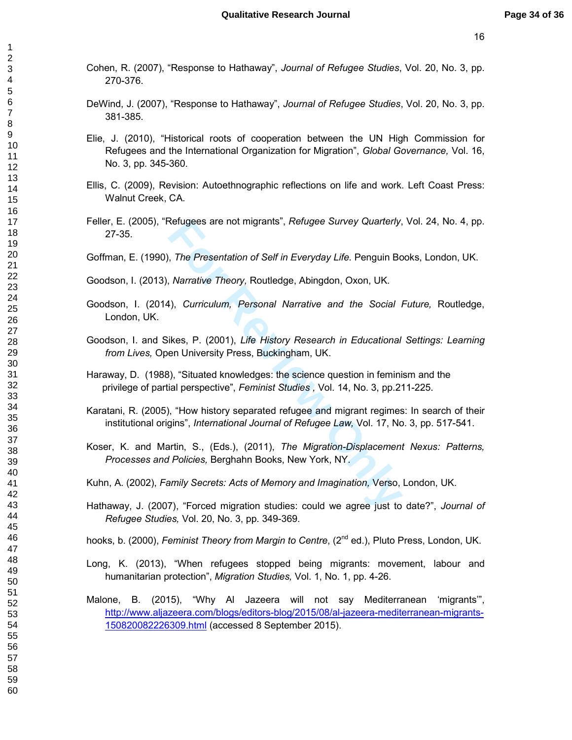- Cohen, R. (2007), "Response to Hathaway", *Journal of Refugee Studies*, Vol. 20, No. 3, pp. 270-376.
- DeWind, J. (2007), "Response to Hathaway", *Journal of Refugee Studies*, Vol. 20, No. 3, pp. 381-385.
- Elie, J. (2010), "Historical roots of cooperation between the UN High Commission for Refugees and the International Organization for Migration", *Global Governance,* Vol. 16, No. 3, pp. 345-360.
- Ellis, C. (2009), Revision: Autoethnographic reflections on life and work. Left Coast Press: Walnut Creek, CA.
- Feller, E. (2005), "Refugees are not migrants", *Refugee Survey Quarterly*, Vol. 24, No. 4, pp. 27-35.
- Goffman, E. (1990), *The Presentation of Self in Everyday Life.* Penguin Books, London, UK.
- Goodson, I. (2013), *Narrative Theory,* Routledge, Abingdon, Oxon, UK.
- Goodson, I. (2014), *Curriculum, Personal Narrative and the Social Future,* Routledge, London, UK.
- Goodson, I. and Sikes, P. (2001), *Life History Research in Educational Settings: Learning from Lives,* Open University Press, Buckingham, UK.
- Haraway, D. (1988), "Situated knowledges: the science question in feminism and the privilege of partial perspective", *Feminist Studies ,* Vol. 14, No. 3, pp.211-225.
- Karatani, R. (2005), "How history separated refugee and migrant regimes: In search of their institutional origins", *International Journal of Refugee Law,* Vol. 17, No. 3, pp. 517-541.
- Refugees are not migrants", *Retugee Survey Quarterly,*<br> *For Presentation of Self in Everyday Life.* Penguin Bc<br> *Narrative Theory, Routledge, Abingdon, Oxon, UK.*<br> **For Review Presental Marrative and the Social is and th** Koser, K. and Martin, S., (Eds.), (2011), *The Migration-Displacement Nexus: Patterns, Processes and Policies,* Berghahn Books, New York, NY.
- Kuhn, A. (2002), *Family Secrets: Acts of Memory and Imagination,* Verso, London, UK.
- Hathaway, J. (2007), "Forced migration studies: could we agree just to date?", *Journal of Refugee Studies,* Vol. 20, No. 3, pp. 349-369.
- hooks, b. (2000), *Feminist Theory from Margin to Centre*, (2<sup>nd</sup> ed.), Pluto Press, London, UK.
- Long, K. (2013), "When refugees stopped being migrants: movement, labour and humanitarian protection", *Migration Studies,* Vol. 1, No. 1, pp. 4-26.
- Malone, B. (2015), "Why Al Jazeera will not say Mediterranean 'migrants'", http://www.aljazeera.com/blogs/editors-blog/2015/08/al-jazeera-mediterranean-migrants-150820082226309.html (accessed 8 September 2015).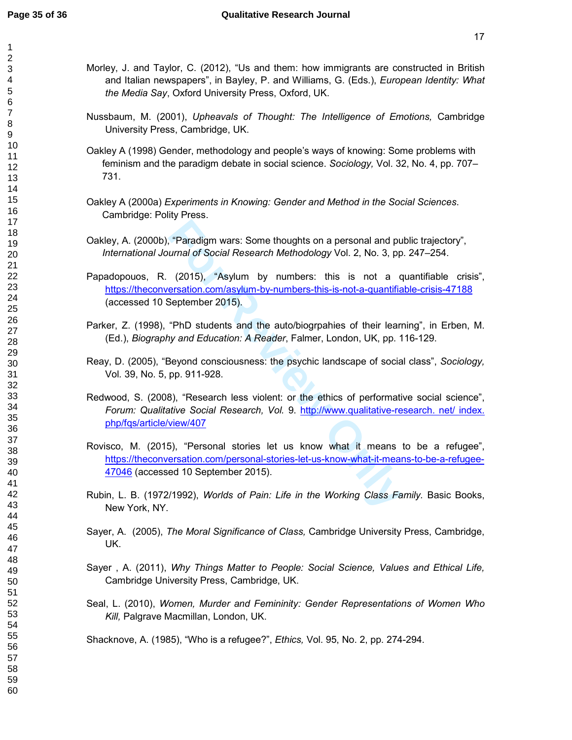$\mathbf{1}$ 

- Morley, J. and Taylor, C. (2012), "Us and them: how immigrants are constructed in British and Italian newspapers", in Bayley, P. and Williams, G. (Eds.), *European Identity: What the Media Say*, Oxford University Press, Oxford, UK.
- Nussbaum, M. (2001), *Upheavals of Thought: The Intelligence of Emotions,* Cambridge University Press, Cambridge, UK.
- Oakley A (1998) Gender, methodology and people's ways of knowing: Some problems with feminism and the paradigm debate in social science. *Sociology,* Vol. 32, No. 4, pp. 707– 731.
- Oakley A (2000a) *Experiments in Knowing: Gender and Method in the Social Sciences*. Cambridge: Polity Press.
- Oakley, A. (2000b), "Paradigm wars: Some thoughts on a personal and public trajectory", *International Journal of Social Research Methodology* Vol. 2, No. 3, pp. 247–254.
- Franculary wars: Some thoughts on a personal and purnal of Social Research Methodology Vol. 2, No. 3, pp. (2015), "Asylum by numbers: this is not a constation.com/asylum-by-numbers: this is not a constantine example 2015). Papadopouos, R. (2015), "Asylum by numbers: this is not a quantifiable crisis", https://theconversation.com/asylum-by-numbers-this-is-not-a-quantifiable-crisis-47188 (accessed 10 September 2015).
- Parker, Z. (1998), "PhD students and the auto/biogrpahies of their learning", in Erben, M. (Ed.), *Biography and Education: A Reader*, Falmer, London, UK, pp. 116-129.
- Reay, D. (2005), "Beyond consciousness: the psychic landscape of social class", *Sociology,*  Vol*.* 39, No. 5, pp. 911-928.
- Redwood, S. (2008), "Research less violent: or the ethics of performative social science", *Forum: Qualitative Social Research, Vol.* 9. http://www.qualitative-research. net/ index. php/fqs/article/view/407
- Rovisco, M. (2015), "Personal stories let us know what it means to be a refugee", https://theconversation.com/personal-stories-let-us-know-what-it-means-to-be-a-refugee-47046 (accessed 10 September 2015).
- Rubin, L. B. (1972/1992), *Worlds of Pain: Life in the Working Class Family.* Basic Books, New York, NY.
- Sayer, A. (2005), *The Moral Significance of Class,* Cambridge University Press, Cambridge, UK.
- Sayer , A. (2011), *Why Things Matter to People: Social Science, Values and Ethical Life,*  Cambridge University Press, Cambridge, UK.
- Seal, L. (2010), *Women, Murder and Femininity: Gender Representations of Women Who Kill,* Palgrave Macmillan, London, UK.

Shacknove, A. (1985), "Who is a refugee?", *Ethics,* Vol. 95, No. 2, pp. 274-294.